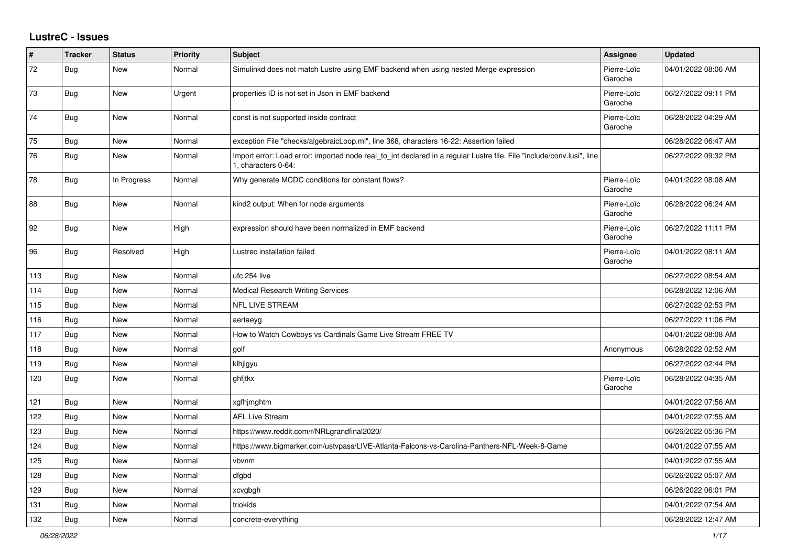## **LustreC - Issues**

| #   | <b>Tracker</b> | <b>Status</b> | <b>Priority</b> | <b>Subject</b>                                                                                                                               | Assignee               | <b>Updated</b>      |
|-----|----------------|---------------|-----------------|----------------------------------------------------------------------------------------------------------------------------------------------|------------------------|---------------------|
| 72  | <b>Bug</b>     | <b>New</b>    | Normal          | Simulinkd does not match Lustre using EMF backend when using nested Merge expression                                                         | Pierre-Loïc<br>Garoche | 04/01/2022 08:06 AM |
| 73  | <b>Bug</b>     | <b>New</b>    | Urgent          | properties ID is not set in Json in EMF backend                                                                                              | Pierre-Loïc<br>Garoche | 06/27/2022 09:11 PM |
| 74  | <b>Bug</b>     | New           | Normal          | const is not supported inside contract                                                                                                       | Pierre-Loïc<br>Garoche | 06/28/2022 04:29 AM |
| 75  | <b>Bug</b>     | New           | Normal          | exception File "checks/algebraicLoop.ml", line 368, characters 16-22: Assertion failed                                                       |                        | 06/28/2022 06:47 AM |
| 76  | <b>Bug</b>     | New           | Normal          | Import error: Load error: imported node real to int declared in a regular Lustre file. File "include/conv.lusi", line<br>1, characters 0-64: |                        | 06/27/2022 09:32 PM |
| 78  | <b>Bug</b>     | In Progress   | Normal          | Why generate MCDC conditions for constant flows?                                                                                             | Pierre-Loïc<br>Garoche | 04/01/2022 08:08 AM |
| 88  | <b>Bug</b>     | New           | Normal          | kind2 output: When for node arguments                                                                                                        | Pierre-Loïc<br>Garoche | 06/28/2022 06:24 AM |
| 92  | <b>Bug</b>     | New           | High            | expression should have been normalized in EMF backend                                                                                        | Pierre-Loïc<br>Garoche | 06/27/2022 11:11 PM |
| 96  | <b>Bug</b>     | Resolved      | High            | Lustrec installation failed                                                                                                                  | Pierre-Loïc<br>Garoche | 04/01/2022 08:11 AM |
| 113 | Bug            | <b>New</b>    | Normal          | ufc 254 live                                                                                                                                 |                        | 06/27/2022 08:54 AM |
| 114 | <b>Bug</b>     | <b>New</b>    | Normal          | <b>Medical Research Writing Services</b>                                                                                                     |                        | 06/28/2022 12:06 AM |
| 115 | Bug            | New           | Normal          | <b>NFL LIVE STREAM</b>                                                                                                                       |                        | 06/27/2022 02:53 PM |
| 116 | <b>Bug</b>     | New           | Normal          | aertaeyg                                                                                                                                     |                        | 06/27/2022 11:06 PM |
| 117 | Bug            | New           | Normal          | How to Watch Cowboys vs Cardinals Game Live Stream FREE TV                                                                                   |                        | 04/01/2022 08:08 AM |
| 118 | Bug            | New           | Normal          | golf                                                                                                                                         | Anonymous              | 06/28/2022 02:52 AM |
| 119 | <b>Bug</b>     | New           | Normal          | klhjigyu                                                                                                                                     |                        | 06/27/2022 02:44 PM |
| 120 | <b>Bug</b>     | New           | Normal          | ghfjtkx                                                                                                                                      | Pierre-Loïc<br>Garoche | 06/28/2022 04:35 AM |
| 121 | Bug            | New           | Normal          | xgfhjmghtm                                                                                                                                   |                        | 04/01/2022 07:56 AM |
| 122 | Bug            | <b>New</b>    | Normal          | <b>AFL Live Stream</b>                                                                                                                       |                        | 04/01/2022 07:55 AM |
| 123 | Bug            | New           | Normal          | https://www.reddit.com/r/NRLgrandfinal2020/                                                                                                  |                        | 06/26/2022 05:36 PM |
| 124 | <b>Bug</b>     | New           | Normal          | https://www.bigmarker.com/ustvpass/LIVE-Atlanta-Falcons-vs-Carolina-Panthers-NFL-Week-8-Game                                                 |                        | 04/01/2022 07:55 AM |
| 125 | <b>Bug</b>     | <b>New</b>    | Normal          | vbvnm                                                                                                                                        |                        | 04/01/2022 07:55 AM |
| 128 | <b>Bug</b>     | <b>New</b>    | Normal          | dfgbd                                                                                                                                        |                        | 06/26/2022 05:07 AM |
| 129 | Bug            | New           | Normal          | xcvgbgh                                                                                                                                      |                        | 06/26/2022 06:01 PM |
| 131 | <b>Bug</b>     | <b>New</b>    | Normal          | triokids                                                                                                                                     |                        | 04/01/2022 07:54 AM |
| 132 | <b>Bug</b>     | <b>New</b>    | Normal          | concrete-everything                                                                                                                          |                        | 06/28/2022 12:47 AM |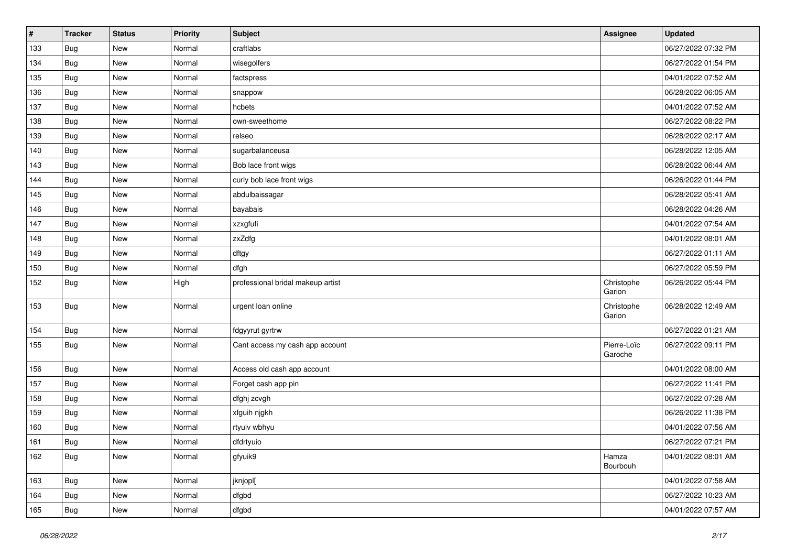| #   | <b>Tracker</b> | <b>Status</b> | <b>Priority</b> | <b>Subject</b>                    | <b>Assignee</b>        | <b>Updated</b>      |
|-----|----------------|---------------|-----------------|-----------------------------------|------------------------|---------------------|
| 133 | <b>Bug</b>     | New           | Normal          | craftlabs                         |                        | 06/27/2022 07:32 PM |
| 134 | <b>Bug</b>     | New           | Normal          | wisegolfers                       |                        | 06/27/2022 01:54 PM |
| 135 | <b>Bug</b>     | New           | Normal          | factspress                        |                        | 04/01/2022 07:52 AM |
| 136 | <b>Bug</b>     | New           | Normal          | snappow                           |                        | 06/28/2022 06:05 AM |
| 137 | <b>Bug</b>     | New           | Normal          | hcbets                            |                        | 04/01/2022 07:52 AM |
| 138 | <b>Bug</b>     | New           | Normal          | own-sweethome                     |                        | 06/27/2022 08:22 PM |
| 139 | <b>Bug</b>     | <b>New</b>    | Normal          | relseo                            |                        | 06/28/2022 02:17 AM |
| 140 | Bug            | New           | Normal          | sugarbalanceusa                   |                        | 06/28/2022 12:05 AM |
| 143 | <b>Bug</b>     | New           | Normal          | Bob lace front wigs               |                        | 06/28/2022 06:44 AM |
| 144 | <b>Bug</b>     | New           | Normal          | curly bob lace front wigs         |                        | 06/26/2022 01:44 PM |
| 145 | <b>Bug</b>     | New           | Normal          | abdulbaissagar                    |                        | 06/28/2022 05:41 AM |
| 146 | Bug            | New           | Normal          | bayabais                          |                        | 06/28/2022 04:26 AM |
| 147 | <b>Bug</b>     | New           | Normal          | xzxgfufi                          |                        | 04/01/2022 07:54 AM |
| 148 | <b>Bug</b>     | <b>New</b>    | Normal          | zxZdfg                            |                        | 04/01/2022 08:01 AM |
| 149 | <b>Bug</b>     | New           | Normal          | dftgy                             |                        | 06/27/2022 01:11 AM |
| 150 | <b>Bug</b>     | New           | Normal          | dfgh                              |                        | 06/27/2022 05:59 PM |
| 152 | <b>Bug</b>     | New           | High            | professional bridal makeup artist | Christophe<br>Garion   | 06/26/2022 05:44 PM |
| 153 | <b>Bug</b>     | New           | Normal          | urgent loan online                | Christophe<br>Garion   | 06/28/2022 12:49 AM |
| 154 | <b>Bug</b>     | New           | Normal          | fdgyyrut gyrtrw                   |                        | 06/27/2022 01:21 AM |
| 155 | <b>Bug</b>     | New           | Normal          | Cant access my cash app account   | Pierre-Loïc<br>Garoche | 06/27/2022 09:11 PM |
| 156 | Bug            | New           | Normal          | Access old cash app account       |                        | 04/01/2022 08:00 AM |
| 157 | <b>Bug</b>     | New           | Normal          | Forget cash app pin               |                        | 06/27/2022 11:41 PM |
| 158 | <b>Bug</b>     | New           | Normal          | dfghj zcvgh                       |                        | 06/27/2022 07:28 AM |
| 159 | <b>Bug</b>     | New           | Normal          | xfguih njgkh                      |                        | 06/26/2022 11:38 PM |
| 160 | <b>Bug</b>     | <b>New</b>    | Normal          | rtyuiv wbhyu                      |                        | 04/01/2022 07:56 AM |
| 161 | <b>Bug</b>     | New           | Normal          | dfdrtyuio                         |                        | 06/27/2022 07:21 PM |
| 162 | Bug            | New           | Normal          | gfyuik9                           | Hamza<br>Bourbouh      | 04/01/2022 08:01 AM |
| 163 | <b>Bug</b>     | New           | Normal          | jknjopl[                          |                        | 04/01/2022 07:58 AM |
| 164 | <b>Bug</b>     | New           | Normal          | dfgbd                             |                        | 06/27/2022 10:23 AM |
| 165 | <b>Bug</b>     | New           | Normal          | dfgbd                             |                        | 04/01/2022 07:57 AM |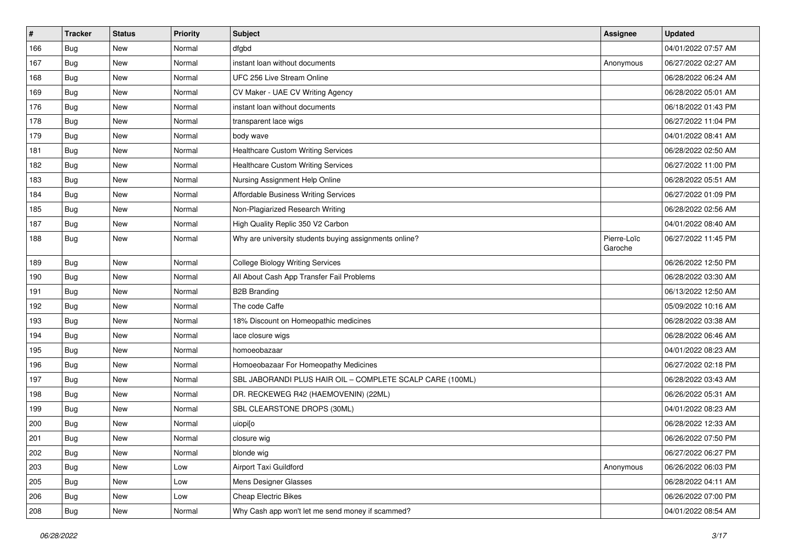| #   | <b>Tracker</b> | <b>Status</b> | <b>Priority</b> | <b>Subject</b>                                            | Assignee               | <b>Updated</b>      |
|-----|----------------|---------------|-----------------|-----------------------------------------------------------|------------------------|---------------------|
| 166 | Bug            | New           | Normal          | dfgbd                                                     |                        | 04/01/2022 07:57 AM |
| 167 | <b>Bug</b>     | <b>New</b>    | Normal          | instant loan without documents                            | Anonymous              | 06/27/2022 02:27 AM |
| 168 | <b>Bug</b>     | New           | Normal          | UFC 256 Live Stream Online                                |                        | 06/28/2022 06:24 AM |
| 169 | <b>Bug</b>     | New           | Normal          | CV Maker - UAE CV Writing Agency                          |                        | 06/28/2022 05:01 AM |
| 176 | <b>Bug</b>     | <b>New</b>    | Normal          | instant loan without documents                            |                        | 06/18/2022 01:43 PM |
| 178 | <b>Bug</b>     | New           | Normal          | transparent lace wigs                                     |                        | 06/27/2022 11:04 PM |
| 179 | <b>Bug</b>     | <b>New</b>    | Normal          | body wave                                                 |                        | 04/01/2022 08:41 AM |
| 181 | <b>Bug</b>     | New           | Normal          | <b>Healthcare Custom Writing Services</b>                 |                        | 06/28/2022 02:50 AM |
| 182 | Bug            | New           | Normal          | <b>Healthcare Custom Writing Services</b>                 |                        | 06/27/2022 11:00 PM |
| 183 | <b>Bug</b>     | <b>New</b>    | Normal          | Nursing Assignment Help Online                            |                        | 06/28/2022 05:51 AM |
| 184 | Bug            | New           | Normal          | Affordable Business Writing Services                      |                        | 06/27/2022 01:09 PM |
| 185 | <b>Bug</b>     | <b>New</b>    | Normal          | Non-Plagiarized Research Writing                          |                        | 06/28/2022 02:56 AM |
| 187 | Bug            | New           | Normal          | High Quality Replic 350 V2 Carbon                         |                        | 04/01/2022 08:40 AM |
| 188 | <b>Bug</b>     | New           | Normal          | Why are university students buying assignments online?    | Pierre-Loïc<br>Garoche | 06/27/2022 11:45 PM |
| 189 | <b>Bug</b>     | <b>New</b>    | Normal          | <b>College Biology Writing Services</b>                   |                        | 06/26/2022 12:50 PM |
| 190 | <b>Bug</b>     | New           | Normal          | All About Cash App Transfer Fail Problems                 |                        | 06/28/2022 03:30 AM |
| 191 | <b>Bug</b>     | <b>New</b>    | Normal          | <b>B2B Branding</b>                                       |                        | 06/13/2022 12:50 AM |
| 192 | <b>Bug</b>     | <b>New</b>    | Normal          | The code Caffe                                            |                        | 05/09/2022 10:16 AM |
| 193 | <b>Bug</b>     | <b>New</b>    | Normal          | 18% Discount on Homeopathic medicines                     |                        | 06/28/2022 03:38 AM |
| 194 | Bug            | New           | Normal          | lace closure wigs                                         |                        | 06/28/2022 06:46 AM |
| 195 | Bug            | New           | Normal          | homoeobazaar                                              |                        | 04/01/2022 08:23 AM |
| 196 | <b>Bug</b>     | <b>New</b>    | Normal          | Homoeobazaar For Homeopathy Medicines                     |                        | 06/27/2022 02:18 PM |
| 197 | Bug            | New           | Normal          | SBL JABORANDI PLUS HAIR OIL - COMPLETE SCALP CARE (100ML) |                        | 06/28/2022 03:43 AM |
| 198 | <b>Bug</b>     | <b>New</b>    | Normal          | DR. RECKEWEG R42 (HAEMOVENIN) (22ML)                      |                        | 06/26/2022 05:31 AM |
| 199 | Bug            | New           | Normal          | SBL CLEARSTONE DROPS (30ML)                               |                        | 04/01/2022 08:23 AM |
| 200 | <b>Bug</b>     | New           | Normal          | uiopi[o                                                   |                        | 06/28/2022 12:33 AM |
| 201 | <b>Bug</b>     | New           | Normal          | closure wig                                               |                        | 06/26/2022 07:50 PM |
| 202 | <b>Bug</b>     | New           | Normal          | blonde wig                                                |                        | 06/27/2022 06:27 PM |
| 203 | Bug            | New           | Low             | Airport Taxi Guildford                                    | Anonymous              | 06/26/2022 06:03 PM |
| 205 | <b>Bug</b>     | New           | Low             | Mens Designer Glasses                                     |                        | 06/28/2022 04:11 AM |
| 206 | <b>Bug</b>     | New           | Low             | <b>Cheap Electric Bikes</b>                               |                        | 06/26/2022 07:00 PM |
| 208 | <b>Bug</b>     | New           | Normal          | Why Cash app won't let me send money if scammed?          |                        | 04/01/2022 08:54 AM |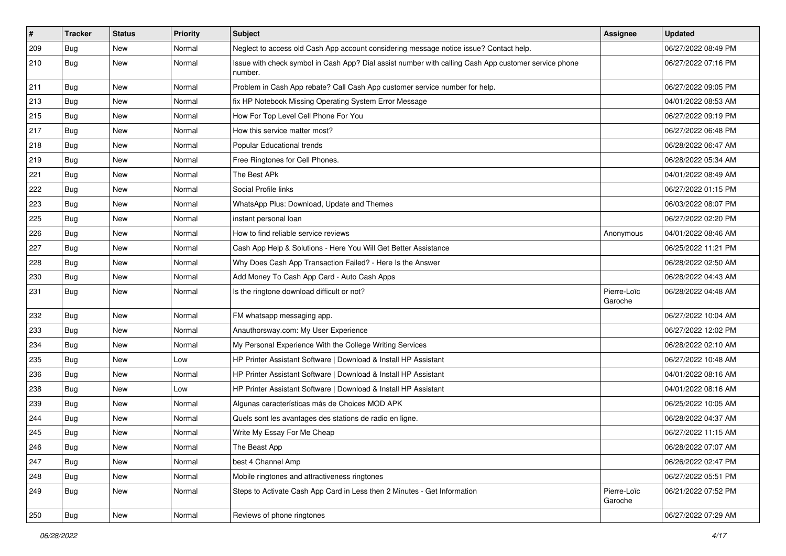| $\sharp$ | Tracker    | <b>Status</b> | <b>Priority</b> | <b>Subject</b>                                                                                                  | <b>Assignee</b>        | <b>Updated</b>      |
|----------|------------|---------------|-----------------|-----------------------------------------------------------------------------------------------------------------|------------------------|---------------------|
| 209      | <b>Bug</b> | New           | Normal          | Neglect to access old Cash App account considering message notice issue? Contact help.                          |                        | 06/27/2022 08:49 PM |
| 210      | <b>Bug</b> | New           | Normal          | Issue with check symbol in Cash App? Dial assist number with calling Cash App customer service phone<br>number. |                        | 06/27/2022 07:16 PM |
| 211      | <b>Bug</b> | <b>New</b>    | Normal          | Problem in Cash App rebate? Call Cash App customer service number for help.                                     |                        | 06/27/2022 09:05 PM |
| 213      | Bug        | New           | Normal          | fix HP Notebook Missing Operating System Error Message                                                          |                        | 04/01/2022 08:53 AM |
| 215      | <b>Bug</b> | New           | Normal          | How For Top Level Cell Phone For You                                                                            |                        | 06/27/2022 09:19 PM |
| 217      | <b>Bug</b> | New           | Normal          | How this service matter most?                                                                                   |                        | 06/27/2022 06:48 PM |
| 218      | Bug        | New           | Normal          | Popular Educational trends                                                                                      |                        | 06/28/2022 06:47 AM |
| 219      | <b>Bug</b> | New           | Normal          | Free Ringtones for Cell Phones.                                                                                 |                        | 06/28/2022 05:34 AM |
| 221      | Bug        | New           | Normal          | The Best APk                                                                                                    |                        | 04/01/2022 08:49 AM |
| 222      | <b>Bug</b> | New           | Normal          | Social Profile links                                                                                            |                        | 06/27/2022 01:15 PM |
| 223      | Bug        | New           | Normal          | WhatsApp Plus: Download, Update and Themes                                                                      |                        | 06/03/2022 08:07 PM |
| 225      | <b>Bug</b> | New           | Normal          | instant personal loan                                                                                           |                        | 06/27/2022 02:20 PM |
| 226      | <b>Bug</b> | New           | Normal          | How to find reliable service reviews                                                                            | Anonymous              | 04/01/2022 08:46 AM |
| 227      | <b>Bug</b> | <b>New</b>    | Normal          | Cash App Help & Solutions - Here You Will Get Better Assistance                                                 |                        | 06/25/2022 11:21 PM |
| 228      | Bug        | New           | Normal          | Why Does Cash App Transaction Failed? - Here Is the Answer                                                      |                        | 06/28/2022 02:50 AM |
| 230      | <b>Bug</b> | New           | Normal          | Add Money To Cash App Card - Auto Cash Apps                                                                     |                        | 06/28/2022 04:43 AM |
| 231      | <b>Bug</b> | New           | Normal          | Is the ringtone download difficult or not?                                                                      | Pierre-Loïc<br>Garoche | 06/28/2022 04:48 AM |
| 232      | <b>Bug</b> | <b>New</b>    | Normal          | FM whatsapp messaging app.                                                                                      |                        | 06/27/2022 10:04 AM |
| 233      | <b>Bug</b> | <b>New</b>    | Normal          | Anauthorsway.com: My User Experience                                                                            |                        | 06/27/2022 12:02 PM |
| 234      | <b>Bug</b> | New           | Normal          | My Personal Experience With the College Writing Services                                                        |                        | 06/28/2022 02:10 AM |
| 235      | <b>Bug</b> | <b>New</b>    | Low             | HP Printer Assistant Software   Download & Install HP Assistant                                                 |                        | 06/27/2022 10:48 AM |
| 236      | <b>Bug</b> | New           | Normal          | HP Printer Assistant Software   Download & Install HP Assistant                                                 |                        | 04/01/2022 08:16 AM |
| 238      | <b>Bug</b> | New           | Low             | HP Printer Assistant Software   Download & Install HP Assistant                                                 |                        | 04/01/2022 08:16 AM |
| 239      | <b>Bug</b> | <b>New</b>    | Normal          | Algunas características más de Choices MOD APK                                                                  |                        | 06/25/2022 10:05 AM |
| 244      | <b>Bug</b> | New           | Normal          | Quels sont les avantages des stations de radio en ligne.                                                        |                        | 06/28/2022 04:37 AM |
| 245      | <b>Bug</b> | <b>New</b>    | Normal          | Write My Essay For Me Cheap                                                                                     |                        | 06/27/2022 11:15 AM |
| 246      | <b>Bug</b> | New           | Normal          | The Beast App                                                                                                   |                        | 06/28/2022 07:07 AM |
| 247      | <b>Bug</b> | New           | Normal          | best 4 Channel Amp                                                                                              |                        | 06/26/2022 02:47 PM |
| 248      | <b>Bug</b> | New           | Normal          | Mobile ringtones and attractiveness ringtones                                                                   |                        | 06/27/2022 05:51 PM |
| 249      | <b>Bug</b> | New           | Normal          | Steps to Activate Cash App Card in Less then 2 Minutes - Get Information                                        | Pierre-Loïc<br>Garoche | 06/21/2022 07:52 PM |
| 250      | <b>Bug</b> | New           | Normal          | Reviews of phone ringtones                                                                                      |                        | 06/27/2022 07:29 AM |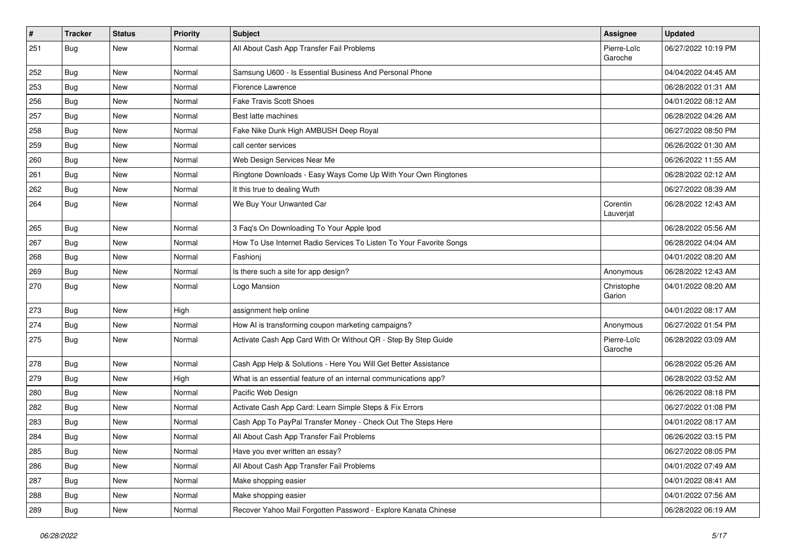| $\sharp$ | <b>Tracker</b> | <b>Status</b> | <b>Priority</b> | <b>Subject</b>                                                      | <b>Assignee</b>        | <b>Updated</b>      |
|----------|----------------|---------------|-----------------|---------------------------------------------------------------------|------------------------|---------------------|
| 251      | <b>Bug</b>     | New           | Normal          | All About Cash App Transfer Fail Problems                           | Pierre-Loïc<br>Garoche | 06/27/2022 10:19 PM |
| 252      | <b>Bug</b>     | New           | Normal          | Samsung U600 - Is Essential Business And Personal Phone             |                        | 04/04/2022 04:45 AM |
| 253      | <b>Bug</b>     | New           | Normal          | Florence Lawrence                                                   |                        | 06/28/2022 01:31 AM |
| 256      | <b>Bug</b>     | <b>New</b>    | Normal          | <b>Fake Travis Scott Shoes</b>                                      |                        | 04/01/2022 08:12 AM |
| 257      | <b>Bug</b>     | <b>New</b>    | Normal          | Best latte machines                                                 |                        | 06/28/2022 04:26 AM |
| 258      | <b>Bug</b>     | New           | Normal          | Fake Nike Dunk High AMBUSH Deep Royal                               |                        | 06/27/2022 08:50 PM |
| 259      | <b>Bug</b>     | New           | Normal          | call center services                                                |                        | 06/26/2022 01:30 AM |
| 260      | <b>Bug</b>     | New           | Normal          | Web Design Services Near Me                                         |                        | 06/26/2022 11:55 AM |
| 261      | <b>Bug</b>     | <b>New</b>    | Normal          | Ringtone Downloads - Easy Ways Come Up With Your Own Ringtones      |                        | 06/28/2022 02:12 AM |
| 262      | <b>Bug</b>     | New           | Normal          | It this true to dealing Wuth                                        |                        | 06/27/2022 08:39 AM |
| 264      | <b>Bug</b>     | New           | Normal          | We Buy Your Unwanted Car                                            | Corentin<br>Lauverjat  | 06/28/2022 12:43 AM |
| 265      | <b>Bug</b>     | <b>New</b>    | Normal          | 3 Faq's On Downloading To Your Apple Ipod                           |                        | 06/28/2022 05:56 AM |
| 267      | <b>Bug</b>     | New           | Normal          | How To Use Internet Radio Services To Listen To Your Favorite Songs |                        | 06/28/2022 04:04 AM |
| 268      | <b>Bug</b>     | New           | Normal          | Fashionj                                                            |                        | 04/01/2022 08:20 AM |
| 269      | <b>Bug</b>     | New           | Normal          | Is there such a site for app design?                                | Anonymous              | 06/28/2022 12:43 AM |
| 270      | <b>Bug</b>     | New           | Normal          | Logo Mansion                                                        | Christophe<br>Garion   | 04/01/2022 08:20 AM |
| 273      | <b>Bug</b>     | <b>New</b>    | High            | assignment help online                                              |                        | 04/01/2022 08:17 AM |
| 274      | <b>Bug</b>     | New           | Normal          | How AI is transforming coupon marketing campaigns?                  | Anonymous              | 06/27/2022 01:54 PM |
| 275      | Bug            | New           | Normal          | Activate Cash App Card With Or Without QR - Step By Step Guide      | Pierre-Loïc<br>Garoche | 06/28/2022 03:09 AM |
| 278      | <b>Bug</b>     | <b>New</b>    | Normal          | Cash App Help & Solutions - Here You Will Get Better Assistance     |                        | 06/28/2022 05:26 AM |
| 279      | <b>Bug</b>     | New           | High            | What is an essential feature of an internal communications app?     |                        | 06/28/2022 03:52 AM |
| 280      | <b>Bug</b>     | <b>New</b>    | Normal          | Pacific Web Design                                                  |                        | 06/26/2022 08:18 PM |
| 282      | <b>Bug</b>     | New           | Normal          | Activate Cash App Card: Learn Simple Steps & Fix Errors             |                        | 06/27/2022 01:08 PM |
| 283      | <b>Bug</b>     | New           | Normal          | Cash App To PayPal Transfer Money - Check Out The Steps Here        |                        | 04/01/2022 08:17 AM |
| 284      | Bug            | New           | Normal          | All About Cash App Transfer Fail Problems                           |                        | 06/26/2022 03:15 PM |
| 285      | <b>Bug</b>     | New           | Normal          | Have you ever written an essay?                                     |                        | 06/27/2022 08:05 PM |
| 286      | <b>Bug</b>     | New           | Normal          | All About Cash App Transfer Fail Problems                           |                        | 04/01/2022 07:49 AM |
| 287      | <b>Bug</b>     | New           | Normal          | Make shopping easier                                                |                        | 04/01/2022 08:41 AM |
| 288      | <b>Bug</b>     | New           | Normal          | Make shopping easier                                                |                        | 04/01/2022 07:56 AM |
| 289      | <b>Bug</b>     | New           | Normal          | Recover Yahoo Mail Forgotten Password - Explore Kanata Chinese      |                        | 06/28/2022 06:19 AM |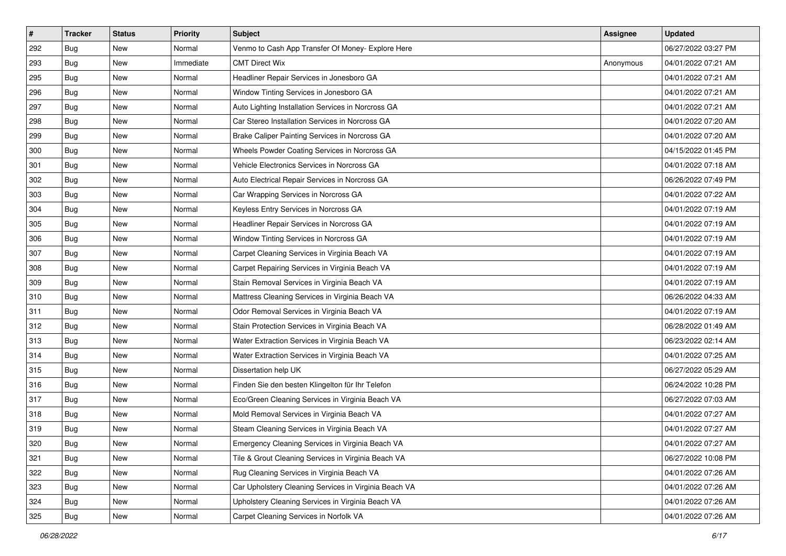| $\sharp$ | <b>Tracker</b> | <b>Status</b> | <b>Priority</b> | <b>Subject</b>                                        | <b>Assignee</b> | <b>Updated</b>      |
|----------|----------------|---------------|-----------------|-------------------------------------------------------|-----------------|---------------------|
| 292      | <b>Bug</b>     | New           | Normal          | Venmo to Cash App Transfer Of Money- Explore Here     |                 | 06/27/2022 03:27 PM |
| 293      | <b>Bug</b>     | New           | Immediate       | <b>CMT Direct Wix</b>                                 | Anonymous       | 04/01/2022 07:21 AM |
| 295      | Bug            | New           | Normal          | Headliner Repair Services in Jonesboro GA             |                 | 04/01/2022 07:21 AM |
| 296      | <b>Bug</b>     | New           | Normal          | Window Tinting Services in Jonesboro GA               |                 | 04/01/2022 07:21 AM |
| 297      | <b>Bug</b>     | New           | Normal          | Auto Lighting Installation Services in Norcross GA    |                 | 04/01/2022 07:21 AM |
| 298      | <b>Bug</b>     | New           | Normal          | Car Stereo Installation Services in Norcross GA       |                 | 04/01/2022 07:20 AM |
| 299      | Bug            | New           | Normal          | Brake Caliper Painting Services in Norcross GA        |                 | 04/01/2022 07:20 AM |
| 300      | Bug            | New           | Normal          | Wheels Powder Coating Services in Norcross GA         |                 | 04/15/2022 01:45 PM |
| 301      | <b>Bug</b>     | New           | Normal          | Vehicle Electronics Services in Norcross GA           |                 | 04/01/2022 07:18 AM |
| 302      | Bug            | New           | Normal          | Auto Electrical Repair Services in Norcross GA        |                 | 06/26/2022 07:49 PM |
| 303      | <b>Bug</b>     | New           | Normal          | Car Wrapping Services in Norcross GA                  |                 | 04/01/2022 07:22 AM |
| 304      | <b>Bug</b>     | New           | Normal          | Keyless Entry Services in Norcross GA                 |                 | 04/01/2022 07:19 AM |
| 305      | Bug            | New           | Normal          | Headliner Repair Services in Norcross GA              |                 | 04/01/2022 07:19 AM |
| 306      | <b>Bug</b>     | New           | Normal          | Window Tinting Services in Norcross GA                |                 | 04/01/2022 07:19 AM |
| 307      | <b>Bug</b>     | New           | Normal          | Carpet Cleaning Services in Virginia Beach VA         |                 | 04/01/2022 07:19 AM |
| 308      | <b>Bug</b>     | New           | Normal          | Carpet Repairing Services in Virginia Beach VA        |                 | 04/01/2022 07:19 AM |
| 309      | <b>Bug</b>     | <b>New</b>    | Normal          | Stain Removal Services in Virginia Beach VA           |                 | 04/01/2022 07:19 AM |
| 310      | <b>Bug</b>     | New           | Normal          | Mattress Cleaning Services in Virginia Beach VA       |                 | 06/26/2022 04:33 AM |
| 311      | <b>Bug</b>     | New           | Normal          | Odor Removal Services in Virginia Beach VA            |                 | 04/01/2022 07:19 AM |
| 312      | <b>Bug</b>     | New           | Normal          | Stain Protection Services in Virginia Beach VA        |                 | 06/28/2022 01:49 AM |
| 313      | <b>Bug</b>     | New           | Normal          | Water Extraction Services in Virginia Beach VA        |                 | 06/23/2022 02:14 AM |
| 314      | <b>Bug</b>     | New           | Normal          | Water Extraction Services in Virginia Beach VA        |                 | 04/01/2022 07:25 AM |
| 315      | <b>Bug</b>     | New           | Normal          | Dissertation help UK                                  |                 | 06/27/2022 05:29 AM |
| 316      | <b>Bug</b>     | New           | Normal          | Finden Sie den besten Klingelton für Ihr Telefon      |                 | 06/24/2022 10:28 PM |
| 317      | <b>Bug</b>     | New           | Normal          | Eco/Green Cleaning Services in Virginia Beach VA      |                 | 06/27/2022 07:03 AM |
| 318      | <b>Bug</b>     | New           | Normal          | Mold Removal Services in Virginia Beach VA            |                 | 04/01/2022 07:27 AM |
| 319      | <b>Bug</b>     | <b>New</b>    | Normal          | Steam Cleaning Services in Virginia Beach VA          |                 | 04/01/2022 07:27 AM |
| 320      | <b>Bug</b>     | New           | Normal          | Emergency Cleaning Services in Virginia Beach VA      |                 | 04/01/2022 07:27 AM |
| 321      | Bug            | New           | Normal          | Tile & Grout Cleaning Services in Virginia Beach VA   |                 | 06/27/2022 10:08 PM |
| 322      | <b>Bug</b>     | New           | Normal          | Rug Cleaning Services in Virginia Beach VA            |                 | 04/01/2022 07:26 AM |
| 323      | <b>Bug</b>     | New           | Normal          | Car Upholstery Cleaning Services in Virginia Beach VA |                 | 04/01/2022 07:26 AM |
| 324      | Bug            | New           | Normal          | Upholstery Cleaning Services in Virginia Beach VA     |                 | 04/01/2022 07:26 AM |
| 325      | <b>Bug</b>     | New           | Normal          | Carpet Cleaning Services in Norfolk VA                |                 | 04/01/2022 07:26 AM |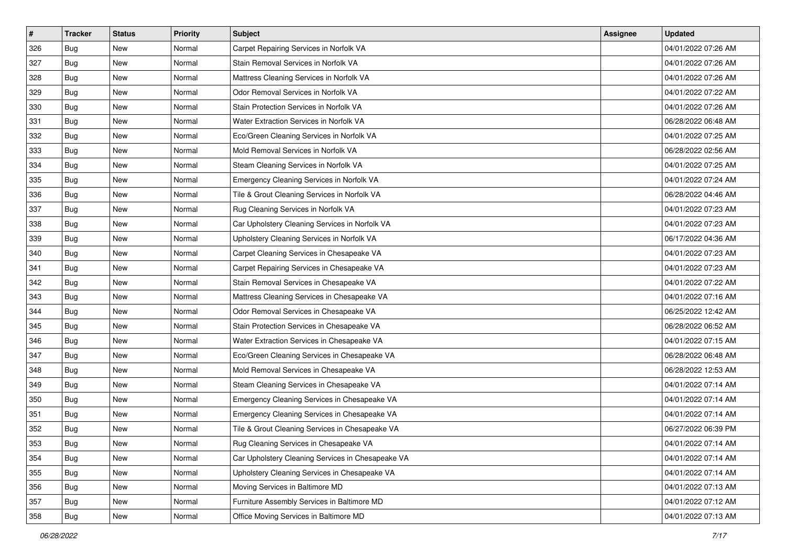| #   | <b>Tracker</b> | <b>Status</b> | <b>Priority</b> | <b>Subject</b>                                    | <b>Assignee</b> | <b>Updated</b>      |
|-----|----------------|---------------|-----------------|---------------------------------------------------|-----------------|---------------------|
| 326 | <b>Bug</b>     | New           | Normal          | Carpet Repairing Services in Norfolk VA           |                 | 04/01/2022 07:26 AM |
| 327 | <b>Bug</b>     | <b>New</b>    | Normal          | Stain Removal Services in Norfolk VA              |                 | 04/01/2022 07:26 AM |
| 328 | <b>Bug</b>     | New           | Normal          | Mattress Cleaning Services in Norfolk VA          |                 | 04/01/2022 07:26 AM |
| 329 | Bug            | New           | Normal          | Odor Removal Services in Norfolk VA               |                 | 04/01/2022 07:22 AM |
| 330 | <b>Bug</b>     | New           | Normal          | Stain Protection Services in Norfolk VA           |                 | 04/01/2022 07:26 AM |
| 331 | <b>Bug</b>     | New           | Normal          | Water Extraction Services in Norfolk VA           |                 | 06/28/2022 06:48 AM |
| 332 | <b>Bug</b>     | <b>New</b>    | Normal          | Eco/Green Cleaning Services in Norfolk VA         |                 | 04/01/2022 07:25 AM |
| 333 | <b>Bug</b>     | New           | Normal          | Mold Removal Services in Norfolk VA               |                 | 06/28/2022 02:56 AM |
| 334 | Bug            | New           | Normal          | Steam Cleaning Services in Norfolk VA             |                 | 04/01/2022 07:25 AM |
| 335 | <b>Bug</b>     | <b>New</b>    | Normal          | Emergency Cleaning Services in Norfolk VA         |                 | 04/01/2022 07:24 AM |
| 336 | <b>Bug</b>     | <b>New</b>    | Normal          | Tile & Grout Cleaning Services in Norfolk VA      |                 | 06/28/2022 04:46 AM |
| 337 | <b>Bug</b>     | New           | Normal          | Rug Cleaning Services in Norfolk VA               |                 | 04/01/2022 07:23 AM |
| 338 | <b>Bug</b>     | New           | Normal          | Car Upholstery Cleaning Services in Norfolk VA    |                 | 04/01/2022 07:23 AM |
| 339 | <b>Bug</b>     | New           | Normal          | Upholstery Cleaning Services in Norfolk VA        |                 | 06/17/2022 04:36 AM |
| 340 | <b>Bug</b>     | New           | Normal          | Carpet Cleaning Services in Chesapeake VA         |                 | 04/01/2022 07:23 AM |
| 341 | <b>Bug</b>     | New           | Normal          | Carpet Repairing Services in Chesapeake VA        |                 | 04/01/2022 07:23 AM |
| 342 | Bug            | New           | Normal          | Stain Removal Services in Chesapeake VA           |                 | 04/01/2022 07:22 AM |
| 343 | <b>Bug</b>     | <b>New</b>    | Normal          | Mattress Cleaning Services in Chesapeake VA       |                 | 04/01/2022 07:16 AM |
| 344 | <b>Bug</b>     | New           | Normal          | Odor Removal Services in Chesapeake VA            |                 | 06/25/2022 12:42 AM |
| 345 | <b>Bug</b>     | <b>New</b>    | Normal          | Stain Protection Services in Chesapeake VA        |                 | 06/28/2022 06:52 AM |
| 346 | <b>Bug</b>     | New           | Normal          | Water Extraction Services in Chesapeake VA        |                 | 04/01/2022 07:15 AM |
| 347 | Bug            | <b>New</b>    | Normal          | Eco/Green Cleaning Services in Chesapeake VA      |                 | 06/28/2022 06:48 AM |
| 348 | <b>Bug</b>     | <b>New</b>    | Normal          | Mold Removal Services in Chesapeake VA            |                 | 06/28/2022 12:53 AM |
| 349 | <b>Bug</b>     | New           | Normal          | Steam Cleaning Services in Chesapeake VA          |                 | 04/01/2022 07:14 AM |
| 350 | <b>Bug</b>     | <b>New</b>    | Normal          | Emergency Cleaning Services in Chesapeake VA      |                 | 04/01/2022 07:14 AM |
| 351 | Bug            | New           | Normal          | Emergency Cleaning Services in Chesapeake VA      |                 | 04/01/2022 07:14 AM |
| 352 | <b>Bug</b>     | New           | Normal          | Tile & Grout Cleaning Services in Chesapeake VA   |                 | 06/27/2022 06:39 PM |
| 353 | <b>Bug</b>     | <b>New</b>    | Normal          | Rug Cleaning Services in Chesapeake VA            |                 | 04/01/2022 07:14 AM |
| 354 | Bug            | New           | Normal          | Car Upholstery Cleaning Services in Chesapeake VA |                 | 04/01/2022 07:14 AM |
| 355 | <b>Bug</b>     | New           | Normal          | Upholstery Cleaning Services in Chesapeake VA     |                 | 04/01/2022 07:14 AM |
| 356 | <b>Bug</b>     | New           | Normal          | Moving Services in Baltimore MD                   |                 | 04/01/2022 07:13 AM |
| 357 | <b>Bug</b>     | New           | Normal          | Furniture Assembly Services in Baltimore MD       |                 | 04/01/2022 07:12 AM |
| 358 | <b>Bug</b>     | New           | Normal          | Office Moving Services in Baltimore MD            |                 | 04/01/2022 07:13 AM |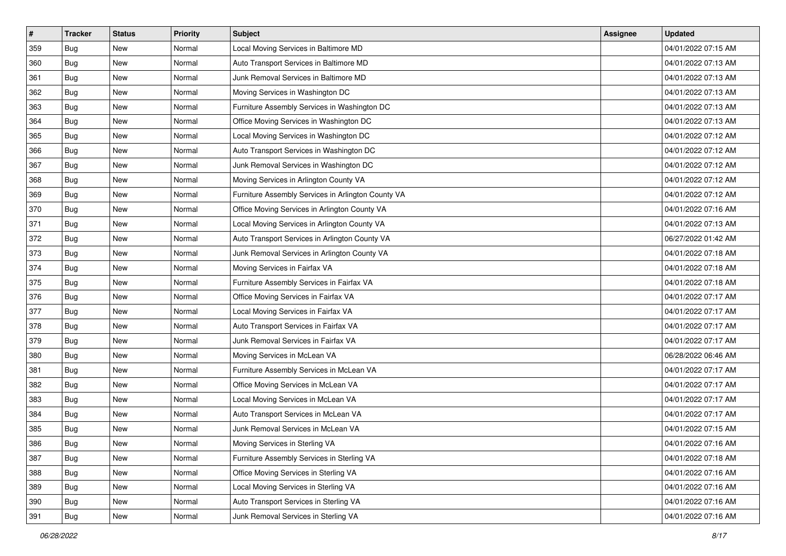| $\#$ | <b>Tracker</b> | <b>Status</b> | <b>Priority</b> | Subject                                            | <b>Assignee</b> | <b>Updated</b>      |
|------|----------------|---------------|-----------------|----------------------------------------------------|-----------------|---------------------|
| 359  | <b>Bug</b>     | New           | Normal          | Local Moving Services in Baltimore MD              |                 | 04/01/2022 07:15 AM |
| 360  | Bug            | New           | Normal          | Auto Transport Services in Baltimore MD            |                 | 04/01/2022 07:13 AM |
| 361  | <b>Bug</b>     | New           | Normal          | Junk Removal Services in Baltimore MD              |                 | 04/01/2022 07:13 AM |
| 362  | Bug            | New           | Normal          | Moving Services in Washington DC                   |                 | 04/01/2022 07:13 AM |
| 363  | <b>Bug</b>     | New           | Normal          | Furniture Assembly Services in Washington DC       |                 | 04/01/2022 07:13 AM |
| 364  | <b>Bug</b>     | New           | Normal          | Office Moving Services in Washington DC            |                 | 04/01/2022 07:13 AM |
| 365  | <b>Bug</b>     | New           | Normal          | Local Moving Services in Washington DC             |                 | 04/01/2022 07:12 AM |
| 366  | <b>Bug</b>     | New           | Normal          | Auto Transport Services in Washington DC           |                 | 04/01/2022 07:12 AM |
| 367  | <b>Bug</b>     | New           | Normal          | Junk Removal Services in Washington DC             |                 | 04/01/2022 07:12 AM |
| 368  | <b>Bug</b>     | New           | Normal          | Moving Services in Arlington County VA             |                 | 04/01/2022 07:12 AM |
| 369  | <b>Bug</b>     | New           | Normal          | Furniture Assembly Services in Arlington County VA |                 | 04/01/2022 07:12 AM |
| 370  | <b>Bug</b>     | New           | Normal          | Office Moving Services in Arlington County VA      |                 | 04/01/2022 07:16 AM |
| 371  | <b>Bug</b>     | New           | Normal          | Local Moving Services in Arlington County VA       |                 | 04/01/2022 07:13 AM |
| 372  | <b>Bug</b>     | New           | Normal          | Auto Transport Services in Arlington County VA     |                 | 06/27/2022 01:42 AM |
| 373  | <b>Bug</b>     | New           | Normal          | Junk Removal Services in Arlington County VA       |                 | 04/01/2022 07:18 AM |
| 374  | <b>Bug</b>     | New           | Normal          | Moving Services in Fairfax VA                      |                 | 04/01/2022 07:18 AM |
| 375  | Bug            | New           | Normal          | Furniture Assembly Services in Fairfax VA          |                 | 04/01/2022 07:18 AM |
| 376  | <b>Bug</b>     | New           | Normal          | Office Moving Services in Fairfax VA               |                 | 04/01/2022 07:17 AM |
| 377  | <b>Bug</b>     | New           | Normal          | Local Moving Services in Fairfax VA                |                 | 04/01/2022 07:17 AM |
| 378  | <b>Bug</b>     | New           | Normal          | Auto Transport Services in Fairfax VA              |                 | 04/01/2022 07:17 AM |
| 379  | <b>Bug</b>     | New           | Normal          | Junk Removal Services in Fairfax VA                |                 | 04/01/2022 07:17 AM |
| 380  | Bug            | New           | Normal          | Moving Services in McLean VA                       |                 | 06/28/2022 06:46 AM |
| 381  | Bug            | New           | Normal          | Furniture Assembly Services in McLean VA           |                 | 04/01/2022 07:17 AM |
| 382  | <b>Bug</b>     | New           | Normal          | Office Moving Services in McLean VA                |                 | 04/01/2022 07:17 AM |
| 383  | <b>Bug</b>     | New           | Normal          | Local Moving Services in McLean VA                 |                 | 04/01/2022 07:17 AM |
| 384  | <b>Bug</b>     | New           | Normal          | Auto Transport Services in McLean VA               |                 | 04/01/2022 07:17 AM |
| 385  | <b>Bug</b>     | New           | Normal          | Junk Removal Services in McLean VA                 |                 | 04/01/2022 07:15 AM |
| 386  | <b>Bug</b>     | New           | Normal          | Moving Services in Sterling VA                     |                 | 04/01/2022 07:16 AM |
| 387  | <b>Bug</b>     | New           | Normal          | Furniture Assembly Services in Sterling VA         |                 | 04/01/2022 07:18 AM |
| 388  | Bug            | New           | Normal          | Office Moving Services in Sterling VA              |                 | 04/01/2022 07:16 AM |
| 389  | <b>Bug</b>     | New           | Normal          | Local Moving Services in Sterling VA               |                 | 04/01/2022 07:16 AM |
| 390  | <b>Bug</b>     | New           | Normal          | Auto Transport Services in Sterling VA             |                 | 04/01/2022 07:16 AM |
| 391  | <b>Bug</b>     | New           | Normal          | Junk Removal Services in Sterling VA               |                 | 04/01/2022 07:16 AM |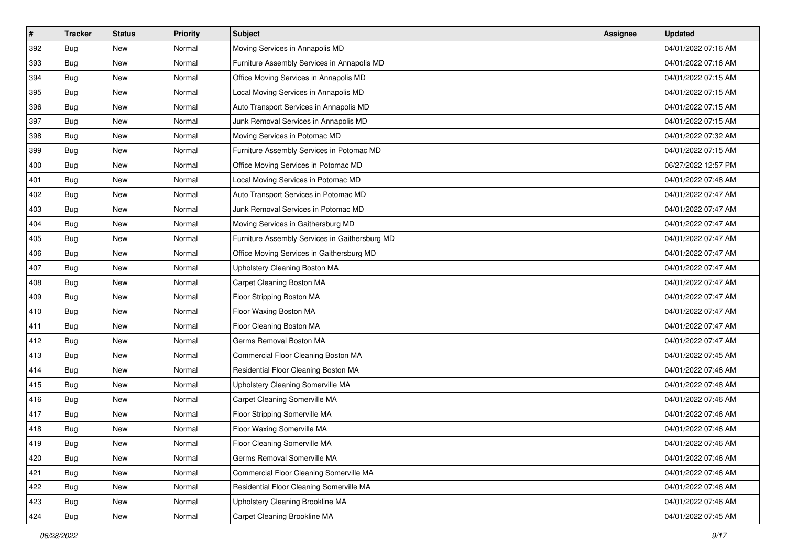| #   | <b>Tracker</b> | <b>Status</b> | <b>Priority</b> | <b>Subject</b>                                 | Assignee | <b>Updated</b>      |
|-----|----------------|---------------|-----------------|------------------------------------------------|----------|---------------------|
| 392 | <b>Bug</b>     | New           | Normal          | Moving Services in Annapolis MD                |          | 04/01/2022 07:16 AM |
| 393 | <b>Bug</b>     | <b>New</b>    | Normal          | Furniture Assembly Services in Annapolis MD    |          | 04/01/2022 07:16 AM |
| 394 | <b>Bug</b>     | New           | Normal          | Office Moving Services in Annapolis MD         |          | 04/01/2022 07:15 AM |
| 395 | Bug            | New           | Normal          | Local Moving Services in Annapolis MD          |          | 04/01/2022 07:15 AM |
| 396 | <b>Bug</b>     | New           | Normal          | Auto Transport Services in Annapolis MD        |          | 04/01/2022 07:15 AM |
| 397 | <b>Bug</b>     | New           | Normal          | Junk Removal Services in Annapolis MD          |          | 04/01/2022 07:15 AM |
| 398 | <b>Bug</b>     | <b>New</b>    | Normal          | Moving Services in Potomac MD                  |          | 04/01/2022 07:32 AM |
| 399 | <b>Bug</b>     | New           | Normal          | Furniture Assembly Services in Potomac MD      |          | 04/01/2022 07:15 AM |
| 400 | Bug            | New           | Normal          | Office Moving Services in Potomac MD           |          | 06/27/2022 12:57 PM |
| 401 | <b>Bug</b>     | <b>New</b>    | Normal          | Local Moving Services in Potomac MD            |          | 04/01/2022 07:48 AM |
| 402 | <b>Bug</b>     | New           | Normal          | Auto Transport Services in Potomac MD          |          | 04/01/2022 07:47 AM |
| 403 | Bug            | New           | Normal          | Junk Removal Services in Potomac MD            |          | 04/01/2022 07:47 AM |
| 404 | <b>Bug</b>     | New           | Normal          | Moving Services in Gaithersburg MD             |          | 04/01/2022 07:47 AM |
| 405 | <b>Bug</b>     | New           | Normal          | Furniture Assembly Services in Gaithersburg MD |          | 04/01/2022 07:47 AM |
| 406 | <b>Bug</b>     | New           | Normal          | Office Moving Services in Gaithersburg MD      |          | 04/01/2022 07:47 AM |
| 407 | <b>Bug</b>     | New           | Normal          | Upholstery Cleaning Boston MA                  |          | 04/01/2022 07:47 AM |
| 408 | Bug            | New           | Normal          | Carpet Cleaning Boston MA                      |          | 04/01/2022 07:47 AM |
| 409 | <b>Bug</b>     | New           | Normal          | Floor Stripping Boston MA                      |          | 04/01/2022 07:47 AM |
| 410 | <b>Bug</b>     | New           | Normal          | Floor Waxing Boston MA                         |          | 04/01/2022 07:47 AM |
| 411 | <b>Bug</b>     | <b>New</b>    | Normal          | Floor Cleaning Boston MA                       |          | 04/01/2022 07:47 AM |
| 412 | <b>Bug</b>     | New           | Normal          | Germs Removal Boston MA                        |          | 04/01/2022 07:47 AM |
| 413 | Bug            | New           | Normal          | Commercial Floor Cleaning Boston MA            |          | 04/01/2022 07:45 AM |
| 414 | <b>Bug</b>     | <b>New</b>    | Normal          | Residential Floor Cleaning Boston MA           |          | 04/01/2022 07:46 AM |
| 415 | <b>Bug</b>     | New           | Normal          | Upholstery Cleaning Somerville MA              |          | 04/01/2022 07:48 AM |
| 416 | <b>Bug</b>     | New           | Normal          | Carpet Cleaning Somerville MA                  |          | 04/01/2022 07:46 AM |
| 417 | Bug            | New           | Normal          | Floor Stripping Somerville MA                  |          | 04/01/2022 07:46 AM |
| 418 | Bug            | New           | Normal          | Floor Waxing Somerville MA                     |          | 04/01/2022 07:46 AM |
| 419 | <b>Bug</b>     | <b>New</b>    | Normal          | Floor Cleaning Somerville MA                   |          | 04/01/2022 07:46 AM |
| 420 | <b>Bug</b>     | New           | Normal          | Germs Removal Somerville MA                    |          | 04/01/2022 07:46 AM |
| 421 | <b>Bug</b>     | New           | Normal          | Commercial Floor Cleaning Somerville MA        |          | 04/01/2022 07:46 AM |
| 422 | <b>Bug</b>     | New           | Normal          | Residential Floor Cleaning Somerville MA       |          | 04/01/2022 07:46 AM |
| 423 | <b>Bug</b>     | New           | Normal          | Upholstery Cleaning Brookline MA               |          | 04/01/2022 07:46 AM |
| 424 | <b>Bug</b>     | New           | Normal          | Carpet Cleaning Brookline MA                   |          | 04/01/2022 07:45 AM |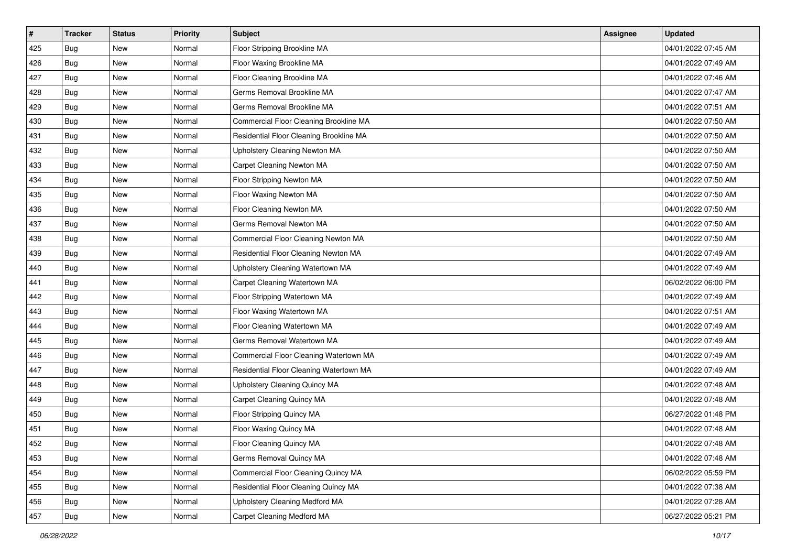| #   | <b>Tracker</b> | <b>Status</b> | <b>Priority</b> | <b>Subject</b>                          | Assignee | <b>Updated</b>      |
|-----|----------------|---------------|-----------------|-----------------------------------------|----------|---------------------|
| 425 | <b>Bug</b>     | New           | Normal          | Floor Stripping Brookline MA            |          | 04/01/2022 07:45 AM |
| 426 | <b>Bug</b>     | <b>New</b>    | Normal          | Floor Waxing Brookline MA               |          | 04/01/2022 07:49 AM |
| 427 | <b>Bug</b>     | New           | Normal          | Floor Cleaning Brookline MA             |          | 04/01/2022 07:46 AM |
| 428 | Bug            | New           | Normal          | Germs Removal Brookline MA              |          | 04/01/2022 07:47 AM |
| 429 | <b>Bug</b>     | <b>New</b>    | Normal          | Germs Removal Brookline MA              |          | 04/01/2022 07:51 AM |
| 430 | <b>Bug</b>     | New           | Normal          | Commercial Floor Cleaning Brookline MA  |          | 04/01/2022 07:50 AM |
| 431 | <b>Bug</b>     | New           | Normal          | Residential Floor Cleaning Brookline MA |          | 04/01/2022 07:50 AM |
| 432 | <b>Bug</b>     | New           | Normal          | Upholstery Cleaning Newton MA           |          | 04/01/2022 07:50 AM |
| 433 | Bug            | New           | Normal          | Carpet Cleaning Newton MA               |          | 04/01/2022 07:50 AM |
| 434 | <b>Bug</b>     | <b>New</b>    | Normal          | Floor Stripping Newton MA               |          | 04/01/2022 07:50 AM |
| 435 | <b>Bug</b>     | New           | Normal          | Floor Waxing Newton MA                  |          | 04/01/2022 07:50 AM |
| 436 | <b>Bug</b>     | New           | Normal          | Floor Cleaning Newton MA                |          | 04/01/2022 07:50 AM |
| 437 | <b>Bug</b>     | New           | Normal          | Germs Removal Newton MA                 |          | 04/01/2022 07:50 AM |
| 438 | <b>Bug</b>     | <b>New</b>    | Normal          | Commercial Floor Cleaning Newton MA     |          | 04/01/2022 07:50 AM |
| 439 | <b>Bug</b>     | New           | Normal          | Residential Floor Cleaning Newton MA    |          | 04/01/2022 07:49 AM |
| 440 | <b>Bug</b>     | New           | Normal          | Upholstery Cleaning Watertown MA        |          | 04/01/2022 07:49 AM |
| 441 | Bug            | New           | Normal          | Carpet Cleaning Watertown MA            |          | 06/02/2022 06:00 PM |
| 442 | <b>Bug</b>     | New           | Normal          | Floor Stripping Watertown MA            |          | 04/01/2022 07:49 AM |
| 443 | <b>Bug</b>     | New           | Normal          | Floor Waxing Watertown MA               |          | 04/01/2022 07:51 AM |
| 444 | <b>Bug</b>     | <b>New</b>    | Normal          | Floor Cleaning Watertown MA             |          | 04/01/2022 07:49 AM |
| 445 | <b>Bug</b>     | New           | Normal          | Germs Removal Watertown MA              |          | 04/01/2022 07:49 AM |
| 446 | Bug            | New           | Normal          | Commercial Floor Cleaning Watertown MA  |          | 04/01/2022 07:49 AM |
| 447 | <b>Bug</b>     | <b>New</b>    | Normal          | Residential Floor Cleaning Watertown MA |          | 04/01/2022 07:49 AM |
| 448 | <b>Bug</b>     | New           | Normal          | Upholstery Cleaning Quincy MA           |          | 04/01/2022 07:48 AM |
| 449 | <b>Bug</b>     | New           | Normal          | Carpet Cleaning Quincy MA               |          | 04/01/2022 07:48 AM |
| 450 | Bug            | New           | Normal          | Floor Stripping Quincy MA               |          | 06/27/2022 01:48 PM |
| 451 | <b>Bug</b>     | New           | Normal          | Floor Waxing Quincy MA                  |          | 04/01/2022 07:48 AM |
| 452 | <b>Bug</b>     | <b>New</b>    | Normal          | Floor Cleaning Quincy MA                |          | 04/01/2022 07:48 AM |
| 453 | <b>Bug</b>     | New           | Normal          | Germs Removal Quincy MA                 |          | 04/01/2022 07:48 AM |
| 454 | <b>Bug</b>     | New           | Normal          | Commercial Floor Cleaning Quincy MA     |          | 06/02/2022 05:59 PM |
| 455 | <b>Bug</b>     | New           | Normal          | Residential Floor Cleaning Quincy MA    |          | 04/01/2022 07:38 AM |
| 456 | <b>Bug</b>     | New           | Normal          | Upholstery Cleaning Medford MA          |          | 04/01/2022 07:28 AM |
| 457 | Bug            | New           | Normal          | Carpet Cleaning Medford MA              |          | 06/27/2022 05:21 PM |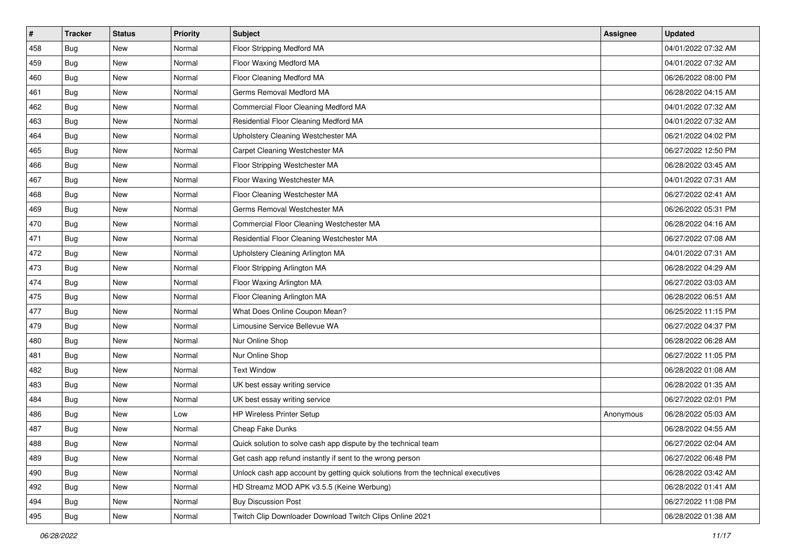| #   | <b>Tracker</b> | <b>Status</b> | <b>Priority</b> | <b>Subject</b>                                                                   | Assignee  | <b>Updated</b>      |
|-----|----------------|---------------|-----------------|----------------------------------------------------------------------------------|-----------|---------------------|
| 458 | <b>Bug</b>     | New           | Normal          | Floor Stripping Medford MA                                                       |           | 04/01/2022 07:32 AM |
| 459 | <b>Bug</b>     | <b>New</b>    | Normal          | Floor Waxing Medford MA                                                          |           | 04/01/2022 07:32 AM |
| 460 | Bug            | New           | Normal          | Floor Cleaning Medford MA                                                        |           | 06/26/2022 08:00 PM |
| 461 | <b>Bug</b>     | New           | Normal          | Germs Removal Medford MA                                                         |           | 06/28/2022 04:15 AM |
| 462 | <b>Bug</b>     | New           | Normal          | Commercial Floor Cleaning Medford MA                                             |           | 04/01/2022 07:32 AM |
| 463 | <b>Bug</b>     | New           | Normal          | Residential Floor Cleaning Medford MA                                            |           | 04/01/2022 07:32 AM |
| 464 | <b>Bug</b>     | <b>New</b>    | Normal          | Upholstery Cleaning Westchester MA                                               |           | 06/21/2022 04:02 PM |
| 465 | Bug            | New           | Normal          | Carpet Cleaning Westchester MA                                                   |           | 06/27/2022 12:50 PM |
| 466 | Bug            | New           | Normal          | Floor Stripping Westchester MA                                                   |           | 06/28/2022 03:45 AM |
| 467 | <b>Bug</b>     | <b>New</b>    | Normal          | Floor Waxing Westchester MA                                                      |           | 04/01/2022 07:31 AM |
| 468 | <b>Bug</b>     | New           | Normal          | Floor Cleaning Westchester MA                                                    |           | 06/27/2022 02:41 AM |
| 469 | Bug            | New           | Normal          | Germs Removal Westchester MA                                                     |           | 06/26/2022 05:31 PM |
| 470 | Bug            | New           | Normal          | Commercial Floor Cleaning Westchester MA                                         |           | 06/28/2022 04:16 AM |
| 471 | Bug            | New           | Normal          | Residential Floor Cleaning Westchester MA                                        |           | 06/27/2022 07:08 AM |
| 472 | <b>Bug</b>     | New           | Normal          | Upholstery Cleaning Arlington MA                                                 |           | 04/01/2022 07:31 AM |
| 473 | Bug            | New           | Normal          | Floor Stripping Arlington MA                                                     |           | 06/28/2022 04:29 AM |
| 474 | Bug            | New           | Normal          | Floor Waxing Arlington MA                                                        |           | 06/27/2022 03:03 AM |
| 475 | <b>Bug</b>     | New           | Normal          | Floor Cleaning Arlington MA                                                      |           | 06/28/2022 06:51 AM |
| 477 | Bug            | New           | Normal          | What Does Online Coupon Mean?                                                    |           | 06/25/2022 11:15 PM |
| 479 | <b>Bug</b>     | <b>New</b>    | Normal          | Limousine Service Bellevue WA                                                    |           | 06/27/2022 04:37 PM |
| 480 | Bug            | New           | Normal          | Nur Online Shop                                                                  |           | 06/28/2022 06:28 AM |
| 481 | Bug            | New           | Normal          | Nur Online Shop                                                                  |           | 06/27/2022 11:05 PM |
| 482 | <b>Bug</b>     | <b>New</b>    | Normal          | <b>Text Window</b>                                                               |           | 06/28/2022 01:08 AM |
| 483 | <b>Bug</b>     | New           | Normal          | UK best essay writing service                                                    |           | 06/28/2022 01:35 AM |
| 484 | Bug            | New           | Normal          | UK best essay writing service                                                    |           | 06/27/2022 02:01 PM |
| 486 | Bug            | New           | Low             | HP Wireless Printer Setup                                                        | Anonymous | 06/28/2022 05:03 AM |
| 487 | <b>Bug</b>     | New           | Normal          | Cheap Fake Dunks                                                                 |           | 06/28/2022 04:55 AM |
| 488 | <b>Bug</b>     | <b>New</b>    | Normal          | Quick solution to solve cash app dispute by the technical team                   |           | 06/27/2022 02:04 AM |
| 489 | Bug            | New           | Normal          | Get cash app refund instantly if sent to the wrong person                        |           | 06/27/2022 06:48 PM |
| 490 | <b>Bug</b>     | New           | Normal          | Unlock cash app account by getting quick solutions from the technical executives |           | 06/28/2022 03:42 AM |
| 492 | Bug            | New           | Normal          | HD Streamz MOD APK v3.5.5 (Keine Werbung)                                        |           | 06/28/2022 01:41 AM |
| 494 | <b>Bug</b>     | New           | Normal          | <b>Buy Discussion Post</b>                                                       |           | 06/27/2022 11:08 PM |
| 495 | Bug            | New           | Normal          | Twitch Clip Downloader Download Twitch Clips Online 2021                         |           | 06/28/2022 01:38 AM |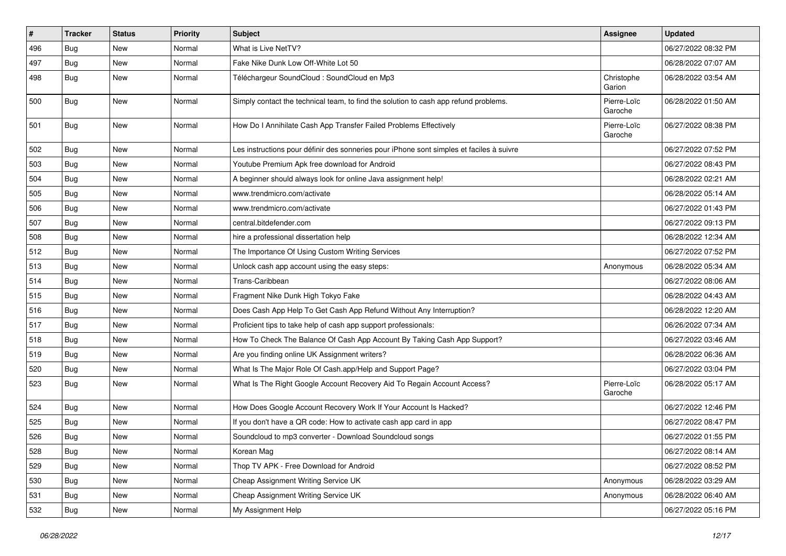| #   | <b>Tracker</b> | <b>Status</b> | <b>Priority</b> | <b>Subject</b>                                                                           | <b>Assignee</b>        | <b>Updated</b>      |
|-----|----------------|---------------|-----------------|------------------------------------------------------------------------------------------|------------------------|---------------------|
| 496 | <b>Bug</b>     | New           | Normal          | What is Live NetTV?                                                                      |                        | 06/27/2022 08:32 PM |
| 497 | Bug            | <b>New</b>    | Normal          | Fake Nike Dunk Low Off-White Lot 50                                                      |                        | 06/28/2022 07:07 AM |
| 498 | <b>Bug</b>     | New           | Normal          | Téléchargeur SoundCloud : SoundCloud en Mp3                                              | Christophe<br>Garion   | 06/28/2022 03:54 AM |
| 500 | <b>Bug</b>     | <b>New</b>    | Normal          | Simply contact the technical team, to find the solution to cash app refund problems.     | Pierre-Loïc<br>Garoche | 06/28/2022 01:50 AM |
| 501 | <b>Bug</b>     | New           | Normal          | How Do I Annihilate Cash App Transfer Failed Problems Effectively                        | Pierre-Loïc<br>Garoche | 06/27/2022 08:38 PM |
| 502 | <b>Bug</b>     | New           | Normal          | Les instructions pour définir des sonneries pour iPhone sont simples et faciles à suivre |                        | 06/27/2022 07:52 PM |
| 503 | Bug            | New           | Normal          | Youtube Premium Apk free download for Android                                            |                        | 06/27/2022 08:43 PM |
| 504 | <b>Bug</b>     | New           | Normal          | A beginner should always look for online Java assignment help!                           |                        | 06/28/2022 02:21 AM |
| 505 | <b>Bug</b>     | New           | Normal          | www.trendmicro.com/activate                                                              |                        | 06/28/2022 05:14 AM |
| 506 | <b>Bug</b>     | New           | Normal          | www.trendmicro.com/activate                                                              |                        | 06/27/2022 01:43 PM |
| 507 | <b>Bug</b>     | New           | Normal          | central.bitdefender.com                                                                  |                        | 06/27/2022 09:13 PM |
| 508 | <b>Bug</b>     | <b>New</b>    | Normal          | hire a professional dissertation help                                                    |                        | 06/28/2022 12:34 AM |
| 512 | <b>Bug</b>     | New           | Normal          | The Importance Of Using Custom Writing Services                                          |                        | 06/27/2022 07:52 PM |
| 513 | <b>Bug</b>     | New           | Normal          | Unlock cash app account using the easy steps:                                            | Anonymous              | 06/28/2022 05:34 AM |
| 514 | <b>Bug</b>     | <b>New</b>    | Normal          | Trans-Caribbean                                                                          |                        | 06/27/2022 08:06 AM |
| 515 | <b>Bug</b>     | New           | Normal          | Fragment Nike Dunk High Tokyo Fake                                                       |                        | 06/28/2022 04:43 AM |
| 516 | Bug            | New           | Normal          | Does Cash App Help To Get Cash App Refund Without Any Interruption?                      |                        | 06/28/2022 12:20 AM |
| 517 | <b>Bug</b>     | New           | Normal          | Proficient tips to take help of cash app support professionals:                          |                        | 06/26/2022 07:34 AM |
| 518 | <b>Bug</b>     | New           | Normal          | How To Check The Balance Of Cash App Account By Taking Cash App Support?                 |                        | 06/27/2022 03:46 AM |
| 519 | <b>Bug</b>     | New           | Normal          | Are you finding online UK Assignment writers?                                            |                        | 06/28/2022 06:36 AM |
| 520 | <b>Bug</b>     | New           | Normal          | What Is The Major Role Of Cash.app/Help and Support Page?                                |                        | 06/27/2022 03:04 PM |
| 523 | Bug            | New           | Normal          | What Is The Right Google Account Recovery Aid To Regain Account Access?                  | Pierre-Loïc<br>Garoche | 06/28/2022 05:17 AM |
| 524 | <b>Bug</b>     | New           | Normal          | How Does Google Account Recovery Work If Your Account Is Hacked?                         |                        | 06/27/2022 12:46 PM |
| 525 | <b>Bug</b>     | New           | Normal          | If you don't have a QR code: How to activate cash app card in app                        |                        | 06/27/2022 08:47 PM |
| 526 | <b>Bug</b>     | New           | Normal          | Soundcloud to mp3 converter - Download Soundcloud songs                                  |                        | 06/27/2022 01:55 PM |
| 528 | Bug            | New           | Normal          | Korean Mag                                                                               |                        | 06/27/2022 08:14 AM |
| 529 | <b>Bug</b>     | New           | Normal          | Thop TV APK - Free Download for Android                                                  |                        | 06/27/2022 08:52 PM |
| 530 | <b>Bug</b>     | New           | Normal          | Cheap Assignment Writing Service UK                                                      | Anonymous              | 06/28/2022 03:29 AM |
| 531 | <b>Bug</b>     | New           | Normal          | Cheap Assignment Writing Service UK                                                      | Anonymous              | 06/28/2022 06:40 AM |
| 532 | <b>Bug</b>     | New           | Normal          | My Assignment Help                                                                       |                        | 06/27/2022 05:16 PM |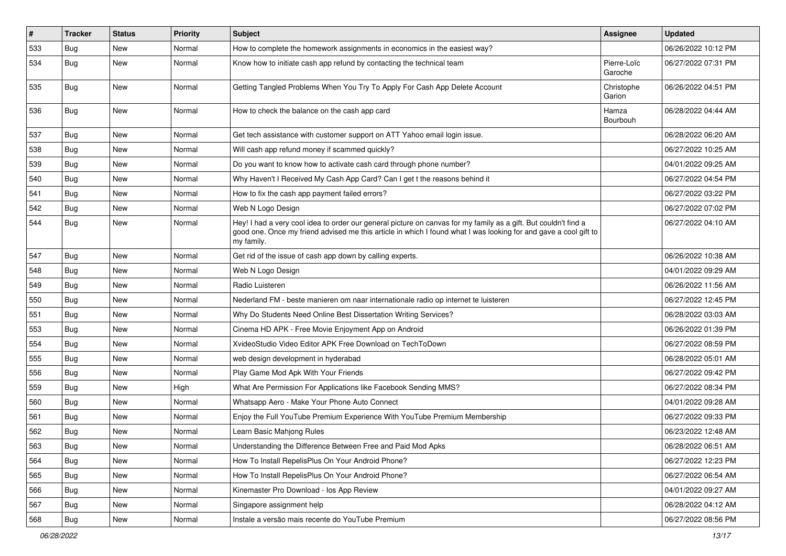| $\#$ | Tracker    | <b>Status</b> | <b>Priority</b> | <b>Subject</b>                                                                                                                                                                                                                                    | <b>Assignee</b>        | <b>Updated</b>      |
|------|------------|---------------|-----------------|---------------------------------------------------------------------------------------------------------------------------------------------------------------------------------------------------------------------------------------------------|------------------------|---------------------|
| 533  | <b>Bug</b> | New           | Normal          | How to complete the homework assignments in economics in the easiest way?                                                                                                                                                                         |                        | 06/26/2022 10:12 PM |
| 534  | <b>Bug</b> | <b>New</b>    | Normal          | Know how to initiate cash app refund by contacting the technical team                                                                                                                                                                             | Pierre-Loïc<br>Garoche | 06/27/2022 07:31 PM |
| 535  | <b>Bug</b> | New           | Normal          | Getting Tangled Problems When You Try To Apply For Cash App Delete Account                                                                                                                                                                        | Christophe<br>Garion   | 06/26/2022 04:51 PM |
| 536  | <b>Bug</b> | New           | Normal          | How to check the balance on the cash app card                                                                                                                                                                                                     | Hamza<br>Bourbouh      | 06/28/2022 04:44 AM |
| 537  | <b>Bug</b> | <b>New</b>    | Normal          | Get tech assistance with customer support on ATT Yahoo email login issue.                                                                                                                                                                         |                        | 06/28/2022 06:20 AM |
| 538  | <b>Bug</b> | New           | Normal          | Will cash app refund money if scammed quickly?                                                                                                                                                                                                    |                        | 06/27/2022 10:25 AM |
| 539  | <b>Bug</b> | <b>New</b>    | Normal          | Do you want to know how to activate cash card through phone number?                                                                                                                                                                               |                        | 04/01/2022 09:25 AM |
| 540  | Bug        | New           | Normal          | Why Haven't I Received My Cash App Card? Can I get t the reasons behind it                                                                                                                                                                        |                        | 06/27/2022 04:54 PM |
| 541  | Bug        | <b>New</b>    | Normal          | How to fix the cash app payment failed errors?                                                                                                                                                                                                    |                        | 06/27/2022 03:22 PM |
| 542  | <b>Bug</b> | New           | Normal          | Web N Logo Design                                                                                                                                                                                                                                 |                        | 06/27/2022 07:02 PM |
| 544  | <b>Bug</b> | New           | Normal          | Hey! I had a very cool idea to order our general picture on canvas for my family as a gift. But couldn't find a<br>good one. Once my friend advised me this article in which I found what I was looking for and gave a cool gift to<br>my family. |                        | 06/27/2022 04:10 AM |
| 547  | Bug        | New           | Normal          | Get rid of the issue of cash app down by calling experts.                                                                                                                                                                                         |                        | 06/26/2022 10:38 AM |
| 548  | <b>Bug</b> | <b>New</b>    | Normal          | Web N Logo Design                                                                                                                                                                                                                                 |                        | 04/01/2022 09:29 AM |
| 549  | <b>Bug</b> | New           | Normal          | Radio Luisteren                                                                                                                                                                                                                                   |                        | 06/26/2022 11:56 AM |
| 550  | <b>Bug</b> | <b>New</b>    | Normal          | Nederland FM - beste manieren om naar internationale radio op internet te luisteren                                                                                                                                                               |                        | 06/27/2022 12:45 PM |
| 551  | Bug        | New           | Normal          | Why Do Students Need Online Best Dissertation Writing Services?                                                                                                                                                                                   |                        | 06/28/2022 03:03 AM |
| 553  | <b>Bug</b> | New           | Normal          | Cinema HD APK - Free Movie Enjoyment App on Android                                                                                                                                                                                               |                        | 06/26/2022 01:39 PM |
| 554  | <b>Bug</b> | New           | Normal          | XvideoStudio Video Editor APK Free Download on TechToDown                                                                                                                                                                                         |                        | 06/27/2022 08:59 PM |
| 555  | <b>Bug</b> | <b>New</b>    | Normal          | web design development in hyderabad                                                                                                                                                                                                               |                        | 06/28/2022 05:01 AM |
| 556  | <b>Bug</b> | New           | Normal          | Play Game Mod Apk With Your Friends                                                                                                                                                                                                               |                        | 06/27/2022 09:42 PM |
| 559  | Bug        | New           | High            | What Are Permission For Applications like Facebook Sending MMS?                                                                                                                                                                                   |                        | 06/27/2022 08:34 PM |
| 560  | <b>Bug</b> | New           | Normal          | Whatsapp Aero - Make Your Phone Auto Connect                                                                                                                                                                                                      |                        | 04/01/2022 09:28 AM |
| 561  | Bug        | New           | Normal          | Enjoy the Full YouTube Premium Experience With YouTube Premium Membership                                                                                                                                                                         |                        | 06/27/2022 09:33 PM |
| 562  | <b>Bug</b> | New           | Normal          | Learn Basic Mahjong Rules                                                                                                                                                                                                                         |                        | 06/23/2022 12:48 AM |
| 563  | Bug        | New           | Normal          | Understanding the Difference Between Free and Paid Mod Apks                                                                                                                                                                                       |                        | 06/28/2022 06:51 AM |
| 564  | <b>Bug</b> | New           | Normal          | How To Install RepelisPlus On Your Android Phone?                                                                                                                                                                                                 |                        | 06/27/2022 12:23 PM |
| 565  | <b>Bug</b> | New           | Normal          | How To Install RepelisPlus On Your Android Phone?                                                                                                                                                                                                 |                        | 06/27/2022 06:54 AM |
| 566  | Bug        | New           | Normal          | Kinemaster Pro Download - los App Review                                                                                                                                                                                                          |                        | 04/01/2022 09:27 AM |
| 567  | <b>Bug</b> | New           | Normal          | Singapore assignment help                                                                                                                                                                                                                         |                        | 06/28/2022 04:12 AM |
| 568  | Bug        | New           | Normal          | Instale a versão mais recente do YouTube Premium                                                                                                                                                                                                  |                        | 06/27/2022 08:56 PM |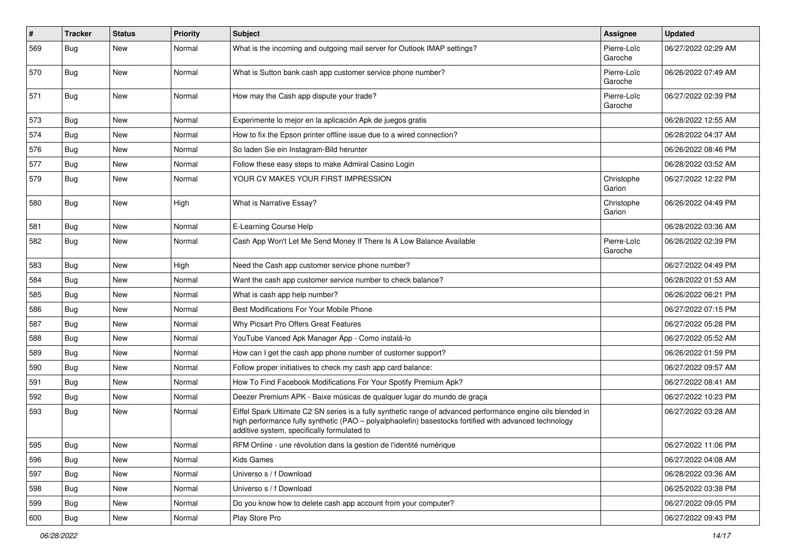| #   | <b>Tracker</b> | <b>Status</b> | Priority | <b>Subject</b>                                                                                                                                                                                                                                                        | <b>Assignee</b>        | <b>Updated</b>      |
|-----|----------------|---------------|----------|-----------------------------------------------------------------------------------------------------------------------------------------------------------------------------------------------------------------------------------------------------------------------|------------------------|---------------------|
| 569 | <b>Bug</b>     | <b>New</b>    | Normal   | What is the incoming and outgoing mail server for Outlook IMAP settings?                                                                                                                                                                                              | Pierre-Loïc<br>Garoche | 06/27/2022 02:29 AM |
| 570 | <b>Bug</b>     | <b>New</b>    | Normal   | What is Sutton bank cash app customer service phone number?                                                                                                                                                                                                           | Pierre-Loïc<br>Garoche | 06/26/2022 07:49 AM |
| 571 | <b>Bug</b>     | <b>New</b>    | Normal   | How may the Cash app dispute your trade?                                                                                                                                                                                                                              | Pierre-Loïc<br>Garoche | 06/27/2022 02:39 PM |
| 573 | <b>Bug</b>     | <b>New</b>    | Normal   | Experimente lo mejor en la aplicación Apk de juegos gratis                                                                                                                                                                                                            |                        | 06/28/2022 12:55 AM |
| 574 | <b>Bug</b>     | <b>New</b>    | Normal   | How to fix the Epson printer offline issue due to a wired connection?                                                                                                                                                                                                 |                        | 06/28/2022 04:37 AM |
| 576 | Bug            | <b>New</b>    | Normal   | So laden Sie ein Instagram-Bild herunter                                                                                                                                                                                                                              |                        | 06/26/2022 08:46 PM |
| 577 | <b>Bug</b>     | <b>New</b>    | Normal   | Follow these easy steps to make Admiral Casino Login                                                                                                                                                                                                                  |                        | 06/28/2022 03:52 AM |
| 579 | <b>Bug</b>     | <b>New</b>    | Normal   | YOUR CV MAKES YOUR FIRST IMPRESSION                                                                                                                                                                                                                                   | Christophe<br>Garion   | 06/27/2022 12:22 PM |
| 580 | <b>Bug</b>     | <b>New</b>    | High     | What is Narrative Essay?                                                                                                                                                                                                                                              | Christophe<br>Garion   | 06/26/2022 04:49 PM |
| 581 | <b>Bug</b>     | <b>New</b>    | Normal   | E-Learning Course Help                                                                                                                                                                                                                                                |                        | 06/28/2022 03:36 AM |
| 582 | <b>Bug</b>     | <b>New</b>    | Normal   | Cash App Won't Let Me Send Money If There Is A Low Balance Available                                                                                                                                                                                                  | Pierre-Loïc<br>Garoche | 06/26/2022 02:39 PM |
| 583 | <b>Bug</b>     | <b>New</b>    | High     | Need the Cash app customer service phone number?                                                                                                                                                                                                                      |                        | 06/27/2022 04:49 PM |
| 584 | <b>Bug</b>     | <b>New</b>    | Normal   | Want the cash app customer service number to check balance?                                                                                                                                                                                                           |                        | 06/28/2022 01:53 AM |
| 585 | <b>Bug</b>     | <b>New</b>    | Normal   | What is cash app help number?                                                                                                                                                                                                                                         |                        | 06/26/2022 06:21 PM |
| 586 | <b>Bug</b>     | <b>New</b>    | Normal   | Best Modifications For Your Mobile Phone                                                                                                                                                                                                                              |                        | 06/27/2022 07:15 PM |
| 587 | <b>Bug</b>     | <b>New</b>    | Normal   | Why Picsart Pro Offers Great Features                                                                                                                                                                                                                                 |                        | 06/27/2022 05:28 PM |
| 588 | <b>Bug</b>     | <b>New</b>    | Normal   | YouTube Vanced Apk Manager App - Como instalá-lo                                                                                                                                                                                                                      |                        | 06/27/2022 05:52 AM |
| 589 | <b>Bug</b>     | <b>New</b>    | Normal   | How can I get the cash app phone number of customer support?                                                                                                                                                                                                          |                        | 06/26/2022 01:59 PM |
| 590 | <b>Bug</b>     | <b>New</b>    | Normal   | Follow proper initiatives to check my cash app card balance:                                                                                                                                                                                                          |                        | 06/27/2022 09:57 AM |
| 591 | <b>Bug</b>     | <b>New</b>    | Normal   | How To Find Facebook Modifications For Your Spotify Premium Apk?                                                                                                                                                                                                      |                        | 06/27/2022 08:41 AM |
| 592 | <b>Bug</b>     | <b>New</b>    | Normal   | Deezer Premium APK - Baixe músicas de qualquer lugar do mundo de graça                                                                                                                                                                                                |                        | 06/27/2022 10:23 PM |
| 593 | Bug            | New           | Normal   | Eiffel Spark Ultimate C2 SN series is a fully synthetic range of advanced performance engine oils blended in<br>high performance fully synthetic (PAO - polyalphaolefin) basestocks fortified with advanced technology<br>additive system, specifically formulated to |                        | 06/27/2022 03:28 AM |
| 595 | <b>Bug</b>     | New           | Normal   | RFM Online - une révolution dans la gestion de l'identité numérique                                                                                                                                                                                                   |                        | 06/27/2022 11:06 PM |
| 596 | <b>Bug</b>     | New           | Normal   | Kids Games                                                                                                                                                                                                                                                            |                        | 06/27/2022 04:08 AM |
| 597 | <b>Bug</b>     | New           | Normal   | Universo s / f Download                                                                                                                                                                                                                                               |                        | 06/28/2022 03:36 AM |
| 598 | <b>Bug</b>     | New           | Normal   | Universo s / f Download                                                                                                                                                                                                                                               |                        | 06/25/2022 03:38 PM |
| 599 | <b>Bug</b>     | New           | Normal   | Do you know how to delete cash app account from your computer?                                                                                                                                                                                                        |                        | 06/27/2022 09:05 PM |
| 600 | <b>Bug</b>     | New           | Normal   | Play Store Pro                                                                                                                                                                                                                                                        |                        | 06/27/2022 09:43 PM |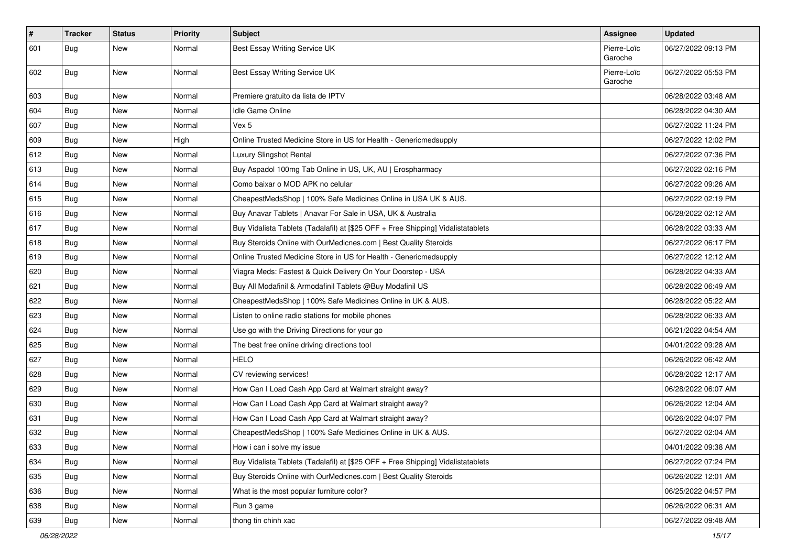| #   | <b>Tracker</b> | <b>Status</b> | <b>Priority</b> | <b>Subject</b>                                                                   | <b>Assignee</b>        | <b>Updated</b>      |
|-----|----------------|---------------|-----------------|----------------------------------------------------------------------------------|------------------------|---------------------|
| 601 | Bug            | New           | Normal          | Best Essay Writing Service UK                                                    | Pierre-Loïc<br>Garoche | 06/27/2022 09:13 PM |
| 602 | Bug            | New           | Normal          | Best Essay Writing Service UK                                                    | Pierre-Loïc<br>Garoche | 06/27/2022 05:53 PM |
| 603 | <b>Bug</b>     | <b>New</b>    | Normal          | Premiere gratuito da lista de IPTV                                               |                        | 06/28/2022 03:48 AM |
| 604 | Bug            | New           | Normal          | Idle Game Online                                                                 |                        | 06/28/2022 04:30 AM |
| 607 | <b>Bug</b>     | <b>New</b>    | Normal          | Vex 5                                                                            |                        | 06/27/2022 11:24 PM |
| 609 | Bug            | New           | High            | Online Trusted Medicine Store in US for Health - Genericmedsupply                |                        | 06/27/2022 12:02 PM |
| 612 | Bug            | New           | Normal          | Luxury Slingshot Rental                                                          |                        | 06/27/2022 07:36 PM |
| 613 | <b>Bug</b>     | <b>New</b>    | Normal          | Buy Aspadol 100mg Tab Online in US, UK, AU   Erospharmacy                        |                        | 06/27/2022 02:16 PM |
| 614 | Bug            | New           | Normal          | Como baixar o MOD APK no celular                                                 |                        | 06/27/2022 09:26 AM |
| 615 | Bug            | New           | Normal          | CheapestMedsShop   100% Safe Medicines Online in USA UK & AUS.                   |                        | 06/27/2022 02:19 PM |
| 616 | Bug            | New           | Normal          | Buy Anavar Tablets   Anavar For Sale in USA, UK & Australia                      |                        | 06/28/2022 02:12 AM |
| 617 | Bug            | <b>New</b>    | Normal          | Buy Vidalista Tablets (Tadalafil) at [\$25 OFF + Free Shipping] Vidalistatablets |                        | 06/28/2022 03:33 AM |
| 618 | <b>Bug</b>     | <b>New</b>    | Normal          | Buy Steroids Online with OurMedicnes.com   Best Quality Steroids                 |                        | 06/27/2022 06:17 PM |
| 619 | <b>Bug</b>     | New           | Normal          | Online Trusted Medicine Store in US for Health - Genericmedsupply                |                        | 06/27/2022 12:12 AM |
| 620 | Bug            | New           | Normal          | Viagra Meds: Fastest & Quick Delivery On Your Doorstep - USA                     |                        | 06/28/2022 04:33 AM |
| 621 | <b>Bug</b>     | New           | Normal          | Buy All Modafinil & Armodafinil Tablets @Buy Modafinil US                        |                        | 06/28/2022 06:49 AM |
| 622 | Bug            | New           | Normal          | CheapestMedsShop   100% Safe Medicines Online in UK & AUS.                       |                        | 06/28/2022 05:22 AM |
| 623 | <b>Bug</b>     | <b>New</b>    | Normal          | Listen to online radio stations for mobile phones                                |                        | 06/28/2022 06:33 AM |
| 624 | <b>Bug</b>     | New           | Normal          | Use go with the Driving Directions for your go                                   |                        | 06/21/2022 04:54 AM |
| 625 | Bug            | New           | Normal          | The best free online driving directions tool                                     |                        | 04/01/2022 09:28 AM |
| 627 | <b>Bug</b>     | <b>New</b>    | Normal          | <b>HELO</b>                                                                      |                        | 06/26/2022 06:42 AM |
| 628 | Bug            | New           | Normal          | CV reviewing services!                                                           |                        | 06/28/2022 12:17 AM |
| 629 | <b>Bug</b>     | New           | Normal          | How Can I Load Cash App Card at Walmart straight away?                           |                        | 06/28/2022 06:07 AM |
| 630 | Bug            | New           | Normal          | How Can I Load Cash App Card at Walmart straight away?                           |                        | 06/26/2022 12:04 AM |
| 631 | Bug            | <b>New</b>    | Normal          | How Can I Load Cash App Card at Walmart straight away?                           |                        | 06/26/2022 04:07 PM |
| 632 | <b>Bug</b>     | New           | Normal          | CheapestMedsShop   100% Safe Medicines Online in UK & AUS.                       |                        | 06/27/2022 02:04 AM |
| 633 | Bug            | New           | Normal          | How i can i solve my issue                                                       |                        | 04/01/2022 09:38 AM |
| 634 | Bug            | New           | Normal          | Buy Vidalista Tablets (Tadalafil) at [\$25 OFF + Free Shipping] Vidalistatablets |                        | 06/27/2022 07:24 PM |
| 635 | Bug            | New           | Normal          | Buy Steroids Online with OurMedicnes.com   Best Quality Steroids                 |                        | 06/26/2022 12:01 AM |
| 636 | Bug            | New           | Normal          | What is the most popular furniture color?                                        |                        | 06/25/2022 04:57 PM |
| 638 | <b>Bug</b>     | New           | Normal          | Run 3 game                                                                       |                        | 06/26/2022 06:31 AM |
| 639 | Bug            | New           | Normal          | thong tin chinh xac                                                              |                        | 06/27/2022 09:48 AM |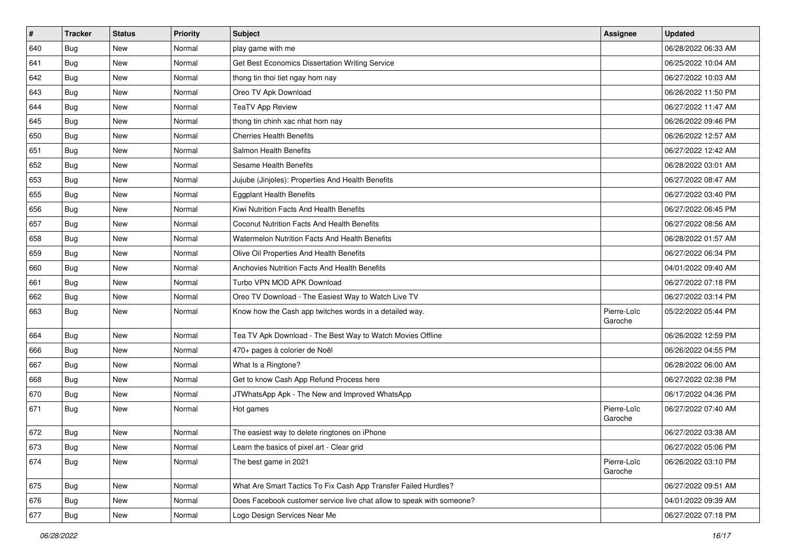| $\#$ | <b>Tracker</b> | <b>Status</b> | <b>Priority</b> | <b>Subject</b>                                                        | <b>Assignee</b>        | <b>Updated</b>      |
|------|----------------|---------------|-----------------|-----------------------------------------------------------------------|------------------------|---------------------|
| 640  | <b>Bug</b>     | <b>New</b>    | Normal          | play game with me                                                     |                        | 06/28/2022 06:33 AM |
| 641  | Bug            | <b>New</b>    | Normal          | Get Best Economics Dissertation Writing Service                       |                        | 06/25/2022 10:04 AM |
| 642  | <b>Bug</b>     | <b>New</b>    | Normal          | thong tin thoi tiet ngay hom nay                                      |                        | 06/27/2022 10:03 AM |
| 643  | <b>Bug</b>     | <b>New</b>    | Normal          | Oreo TV Apk Download                                                  |                        | 06/26/2022 11:50 PM |
| 644  | Bug            | <b>New</b>    | Normal          | <b>TeaTV App Review</b>                                               |                        | 06/27/2022 11:47 AM |
| 645  | <b>Bug</b>     | New           | Normal          | thong tin chinh xac nhat hom nay                                      |                        | 06/26/2022 09:46 PM |
| 650  | <b>Bug</b>     | <b>New</b>    | Normal          | <b>Cherries Health Benefits</b>                                       |                        | 06/26/2022 12:57 AM |
| 651  | <b>Bug</b>     | <b>New</b>    | Normal          | Salmon Health Benefits                                                |                        | 06/27/2022 12:42 AM |
| 652  | <b>Bug</b>     | <b>New</b>    | Normal          | Sesame Health Benefits                                                |                        | 06/28/2022 03:01 AM |
| 653  | <b>Bug</b>     | <b>New</b>    | Normal          | Jujube (Jinjoles): Properties And Health Benefits                     |                        | 06/27/2022 08:47 AM |
| 655  | <b>Bug</b>     | New           | Normal          | <b>Eggplant Health Benefits</b>                                       |                        | 06/27/2022 03:40 PM |
| 656  | Bug            | <b>New</b>    | Normal          | Kiwi Nutrition Facts And Health Benefits                              |                        | 06/27/2022 06:45 PM |
| 657  | <b>Bug</b>     | New           | Normal          | Coconut Nutrition Facts And Health Benefits                           |                        | 06/27/2022 08:56 AM |
| 658  | <b>Bug</b>     | <b>New</b>    | Normal          | Watermelon Nutrition Facts And Health Benefits                        |                        | 06/28/2022 01:57 AM |
| 659  | <b>Bug</b>     | <b>New</b>    | Normal          | Olive Oil Properties And Health Benefits                              |                        | 06/27/2022 06:34 PM |
| 660  | Bug            | <b>New</b>    | Normal          | Anchovies Nutrition Facts And Health Benefits                         |                        | 04/01/2022 09:40 AM |
| 661  | Bug            | <b>New</b>    | Normal          | Turbo VPN MOD APK Download                                            |                        | 06/27/2022 07:18 PM |
| 662  | Bug            | <b>New</b>    | Normal          | Oreo TV Download - The Easiest Way to Watch Live TV                   |                        | 06/27/2022 03:14 PM |
| 663  | <b>Bug</b>     | <b>New</b>    | Normal          | Know how the Cash app twitches words in a detailed way.               | Pierre-Loïc<br>Garoche | 05/22/2022 05:44 PM |
| 664  | Bug            | <b>New</b>    | Normal          | Tea TV Apk Download - The Best Way to Watch Movies Offline            |                        | 06/26/2022 12:59 PM |
| 666  | <b>Bug</b>     | <b>New</b>    | Normal          | 470+ pages à colorier de Noël                                         |                        | 06/26/2022 04:55 PM |
| 667  | <b>Bug</b>     | <b>New</b>    | Normal          | What Is a Ringtone?                                                   |                        | 06/28/2022 06:00 AM |
| 668  | <b>Bug</b>     | New           | Normal          | Get to know Cash App Refund Process here                              |                        | 06/27/2022 02:38 PM |
| 670  | <b>Bug</b>     | <b>New</b>    | Normal          | JTWhatsApp Apk - The New and Improved WhatsApp                        |                        | 06/17/2022 04:36 PM |
| 671  | <b>Bug</b>     | <b>New</b>    | Normal          | Hot games                                                             | Pierre-Loïc<br>Garoche | 06/27/2022 07:40 AM |
| 672  | <b>Bug</b>     | <b>New</b>    | Normal          | The easiest way to delete ringtones on iPhone                         |                        | 06/27/2022 03:38 AM |
| 673  | Bug            | New           | Normal          | Learn the basics of pixel art - Clear grid                            |                        | 06/27/2022 05:06 PM |
| 674  | <b>Bug</b>     | New           | Normal          | The best game in 2021                                                 | Pierre-Loïc<br>Garoche | 06/26/2022 03:10 PM |
| 675  | <b>Bug</b>     | New           | Normal          | What Are Smart Tactics To Fix Cash App Transfer Failed Hurdles?       |                        | 06/27/2022 09:51 AM |
| 676  | <b>Bug</b>     | New           | Normal          | Does Facebook customer service live chat allow to speak with someone? |                        | 04/01/2022 09:39 AM |
| 677  | Bug            | New           | Normal          | Logo Design Services Near Me                                          |                        | 06/27/2022 07:18 PM |